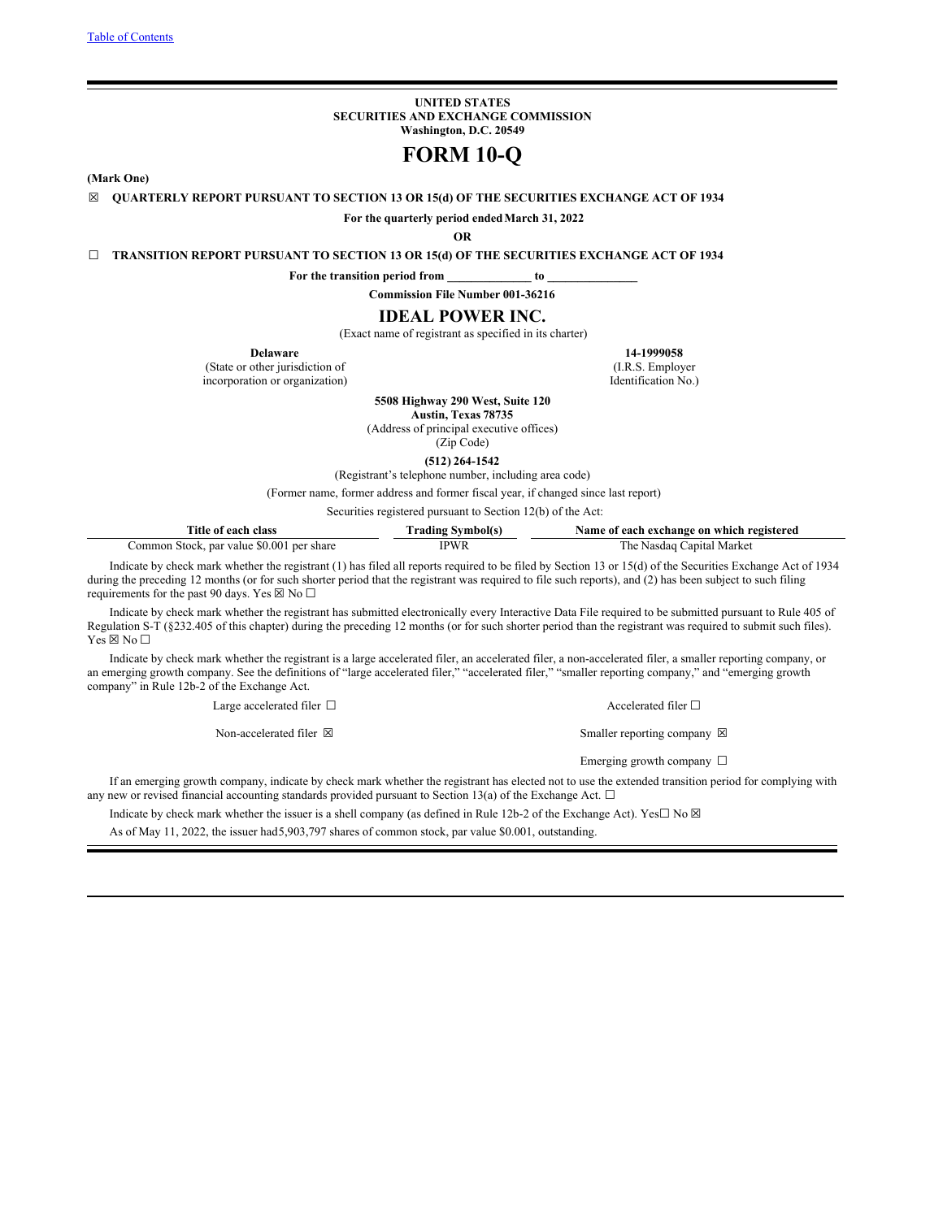**UNITED STATES SECURITIES AND EXCHANGE COMMISSION Washington, D.C. 20549**

# **FORM 10-Q**

<span id="page-0-0"></span>**(Mark One)**

**☒ QUARTERLY REPORT PURSUANT TO SECTION 13 OR 15(d) OF THE SECURITIES EXCHANGE ACT OF 1934**

**For the quarterly period endedMarch 31, 2022**

**OR**

**☐ TRANSITION REPORT PURSUANT TO SECTION 13 OR 15(d) OF THE SECURITIES EXCHANGE ACT OF 1934**

**For the transition period from \_\_\_\_\_\_\_\_\_\_\_\_\_\_ to \_\_\_\_\_\_\_\_\_\_\_\_\_\_\_**

**Commission File Number 001-36216**

## **IDEAL POWER INC.**

(Exact name of registrant as specified in its charter)

(State or other jurisdiction of incorporation or organization) Identification No.)

**Delaware 14-1999058 14-1999058 11-1999058 11-1999058 11-1999058** 

**5508 Highway 290 West, Suite 120**

**Austin, Texas 78735** (Address of principal executive offices)

(Zip Code)

**(512) 264-1542**

(Registrant's telephone number, including area code)

(Former name, former address and former fiscal year, if changed since last report)

Securities registered pursuant to Section 12(b) of the Act:

| Title of each class                       | <b>Trading Symbol(s)</b> | Name of each exchange on which registered |
|-------------------------------------------|--------------------------|-------------------------------------------|
| Common Stock, par value \$0.001 per share | IPWR                     | The Nasdaq Capital Market                 |

Indicate by check mark whether the registrant (1) has filed all reports required to be filed by Section 13 or 15(d) of the Securities Exchange Act of 1934 during the preceding 12 months (or for such shorter period that the registrant was required to file such reports), and (2) has been subject to such filing requirements for the past 90 days. Yes  $\boxtimes$  No  $\Box$ 

Indicate by check mark whether the registrant has submitted electronically every Interactive Data File required to be submitted pursuant to Rule 405 of Regulation S-T (§232.405 of this chapter) during the preceding 12 months (or for such shorter period than the registrant was required to submit such files).  $Yes \boxtimes No \Box$ 

Indicate by check mark whether the registrant is a large accelerated filer, an accelerated filer, a non-accelerated filer, a smaller reporting company, or an emerging growth company. See the definitions of "large accelerated filer," "accelerated filer," "smaller reporting company," and "emerging growth company" in Rule 12b-2 of the Exchange Act.

Large accelerated filer □ accelerated filer □ accelerated filer □

Non-accelerated filer  $\boxtimes$  Smaller reporting company  $\boxtimes$ 

Emerging growth company □

If an emerging growth company, indicate by check mark whether the registrant has elected not to use the extended transition period for complying with any new or revised financial accounting standards provided pursuant to Section 13(a) of the Exchange Act.  $\Box$ 

Indicate by check mark whether the issuer is a shell company (as defined in Rule 12b-2 of the Exchange Act). Yes $\Box$  No  $\boxtimes$ 

As of May 11, 2022, the issuer had5,903,797 shares of common stock, par value \$0.001, outstanding.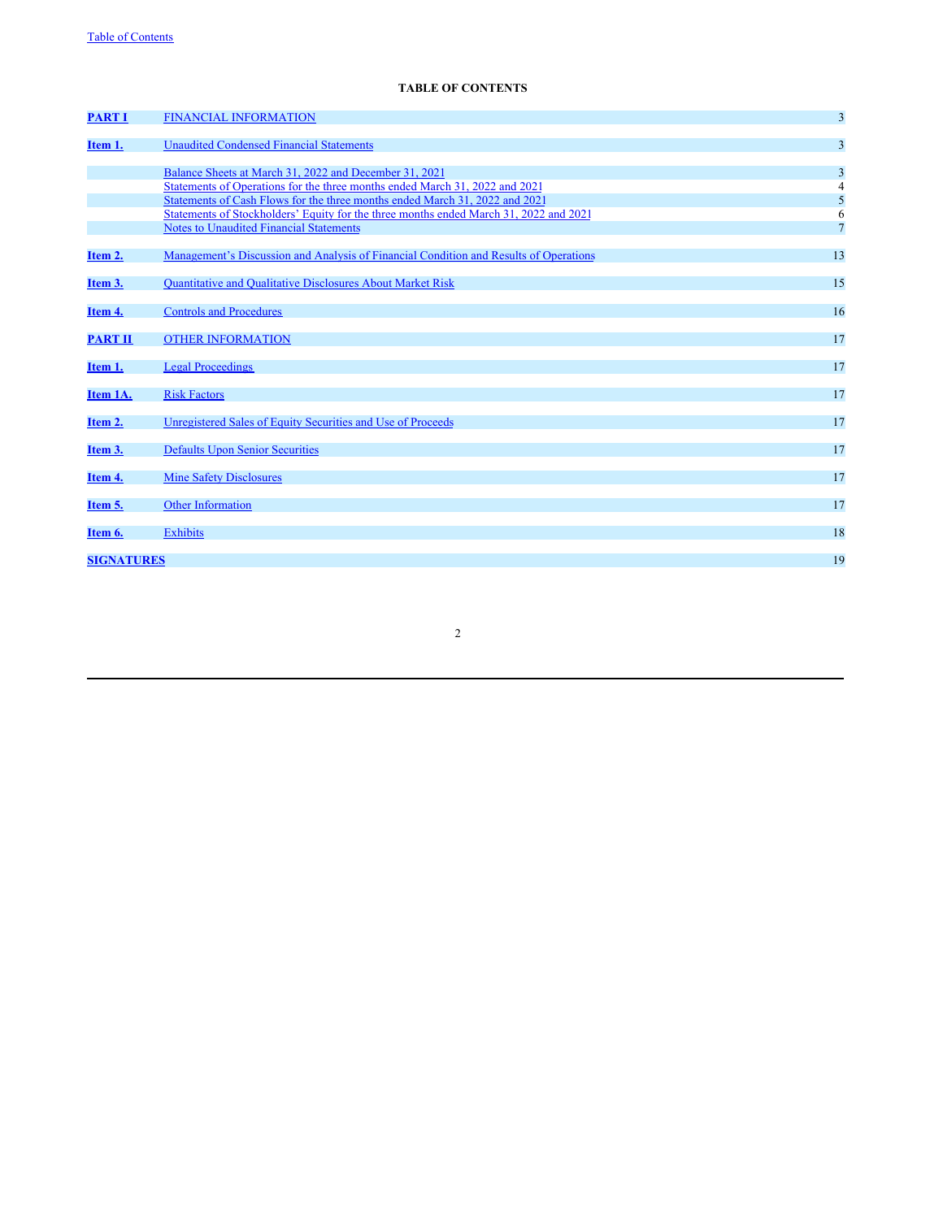## **TABLE OF CONTENTS**

| <b>PART I</b>     | <b>FINANCIAL INFORMATION</b>                                                          | $\overline{3}$ |
|-------------------|---------------------------------------------------------------------------------------|----------------|
| Item 1.           | <b>Unaudited Condensed Financial Statements</b>                                       | 3              |
|                   | Balance Sheets at March 31, 2022 and December 31, 2021                                | 3              |
|                   | Statements of Operations for the three months ended March 31, 2022 and 2021           | 4              |
|                   | Statements of Cash Flows for the three months ended March 31, 2022 and 2021           | 5              |
|                   | Statements of Stockholders' Equity for the three months ended March 31, 2022 and 2021 | 6              |
|                   | <b>Notes to Unaudited Financial Statements</b>                                        | $\overline{7}$ |
| Item 2.           | Management's Discussion and Analysis of Financial Condition and Results of Operations | 13             |
| Item 3.           | Quantitative and Qualitative Disclosures About Market Risk                            | 15             |
| Item 4.           | <b>Controls and Procedures</b>                                                        | 16             |
| <b>PART II</b>    | <b>OTHER INFORMATION</b>                                                              | 17             |
| Item 1.           | <b>Legal Proceedings</b>                                                              | 17             |
| Item 1A.          | <b>Risk Factors</b>                                                                   | 17             |
| Item 2.           | Unregistered Sales of Equity Securities and Use of Proceeds                           | 17             |
| Item 3.           | <b>Defaults Upon Senior Securities</b>                                                | 17             |
| Item 4.           | <b>Mine Safety Disclosures</b>                                                        | 17             |
| Item 5.           | <b>Other Information</b>                                                              | 17             |
| Item 6.           | <b>Exhibits</b>                                                                       | 18             |
|                   |                                                                                       |                |
| <b>SIGNATURES</b> |                                                                                       | 19             |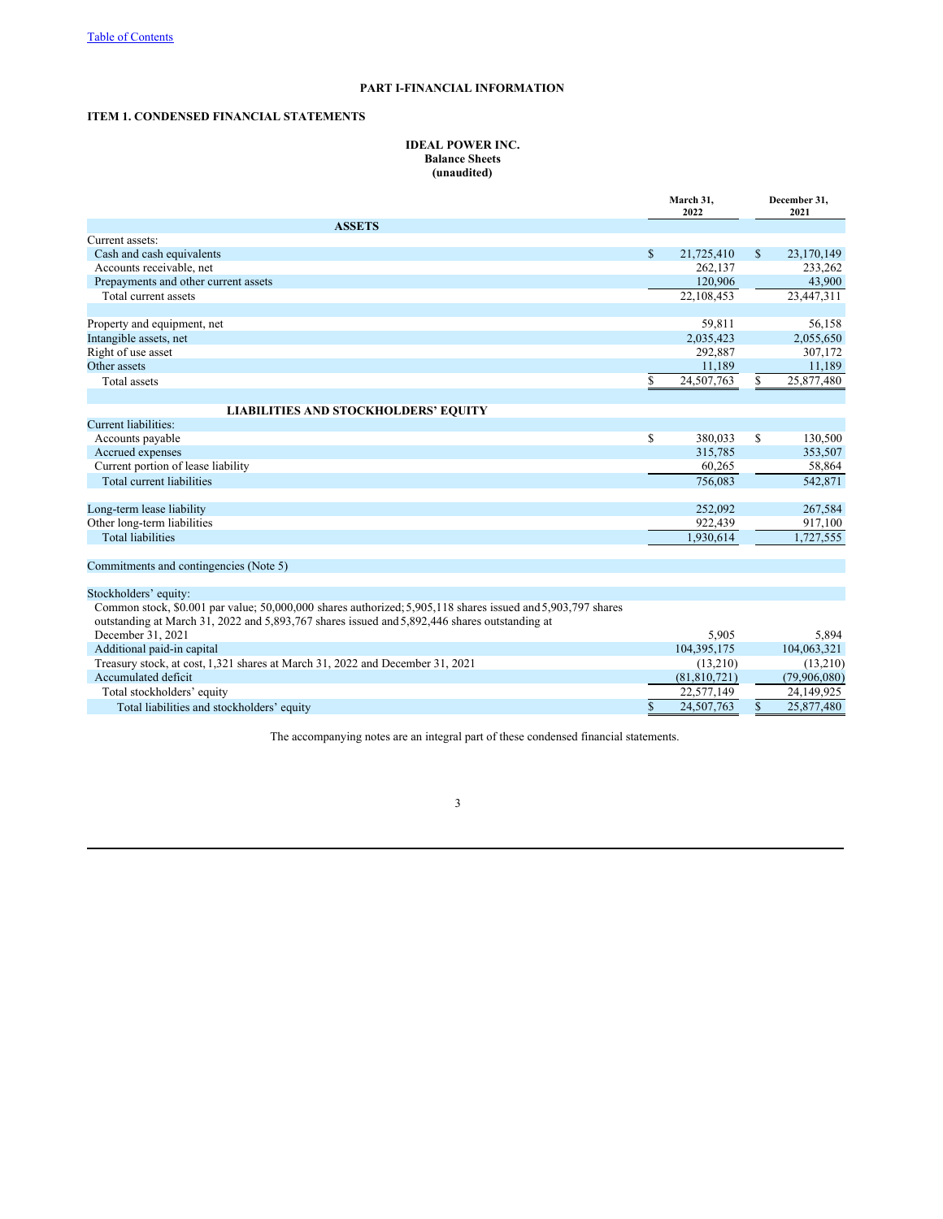## **PART I-FINANCIAL INFORMATION**

## **ITEM 1. CONDENSED FINANCIAL STATEMENTS**

## **IDEAL POWER INC. Balance Sheets (unaudited)**

|                                                                                                             |              | March 31,<br>2022 | December 31,<br>2021 |              |  |
|-------------------------------------------------------------------------------------------------------------|--------------|-------------------|----------------------|--------------|--|
| <b>ASSETS</b>                                                                                               |              |                   |                      |              |  |
| Current assets:                                                                                             |              |                   |                      |              |  |
| Cash and cash equivalents                                                                                   | $\mathbb{S}$ | 21,725,410        | $\mathbb{S}$         | 23,170,149   |  |
| Accounts receivable, net                                                                                    |              | 262,137           |                      | 233,262      |  |
| Prepayments and other current assets                                                                        |              | 120,906           |                      | 43,900       |  |
| Total current assets                                                                                        |              | 22,108,453        |                      | 23,447,311   |  |
|                                                                                                             |              |                   |                      |              |  |
| Property and equipment, net                                                                                 |              | 59,811            |                      | 56,158       |  |
| Intangible assets, net                                                                                      |              | 2,035,423         |                      | 2,055,650    |  |
| Right of use asset                                                                                          |              | 292,887           |                      | 307,172      |  |
| Other assets                                                                                                |              | 11,189            |                      | 11,189       |  |
| Total assets                                                                                                | \$           | 24,507,763        | \$                   | 25,877,480   |  |
|                                                                                                             |              |                   |                      |              |  |
| <b>LIABILITIES AND STOCKHOLDERS' EQUITY</b>                                                                 |              |                   |                      |              |  |
| Current liabilities:                                                                                        |              |                   |                      |              |  |
| Accounts payable                                                                                            | \$           | 380,033           | $\mathbb{S}$         | 130,500      |  |
| Accrued expenses                                                                                            |              | 315,785           |                      | 353,507      |  |
| Current portion of lease liability                                                                          |              | 60,265            |                      | 58,864       |  |
| Total current liabilities                                                                                   |              | 756,083           |                      | 542,871      |  |
| Long-term lease liability                                                                                   |              | 252,092           |                      | 267,584      |  |
| Other long-term liabilities                                                                                 |              | 922,439           |                      | 917,100      |  |
| <b>Total liabilities</b>                                                                                    |              | 1.930.614         |                      | 1,727,555    |  |
| Commitments and contingencies (Note 5)                                                                      |              |                   |                      |              |  |
|                                                                                                             |              |                   |                      |              |  |
| Stockholders' equity:                                                                                       |              |                   |                      |              |  |
| Common stock, \$0.001 par value; 50,000,000 shares authorized; 5,905,118 shares issued and 5,903,797 shares |              |                   |                      |              |  |
| outstanding at March 31, 2022 and 5,893,767 shares issued and 5,892,446 shares outstanding at               |              |                   |                      |              |  |
| December 31, 2021                                                                                           |              | 5,905             |                      | 5,894        |  |
| Additional paid-in capital                                                                                  |              | 104,395,175       |                      | 104,063,321  |  |
| Treasury stock, at cost, 1,321 shares at March 31, 2022 and December 31, 2021                               |              | (13,210)          |                      | (13,210)     |  |
| Accumulated deficit                                                                                         |              | (81, 810, 721)    |                      | (79,906,080) |  |
| Total stockholders' equity                                                                                  |              | 22,577,149        |                      | 24,149,925   |  |
| Total liabilities and stockholders' equity                                                                  | $\mathbf S$  | 24,507,763        | $\mathbb{S}$         | 25,877,480   |  |

The accompanying notes are an integral part of these condensed financial statements.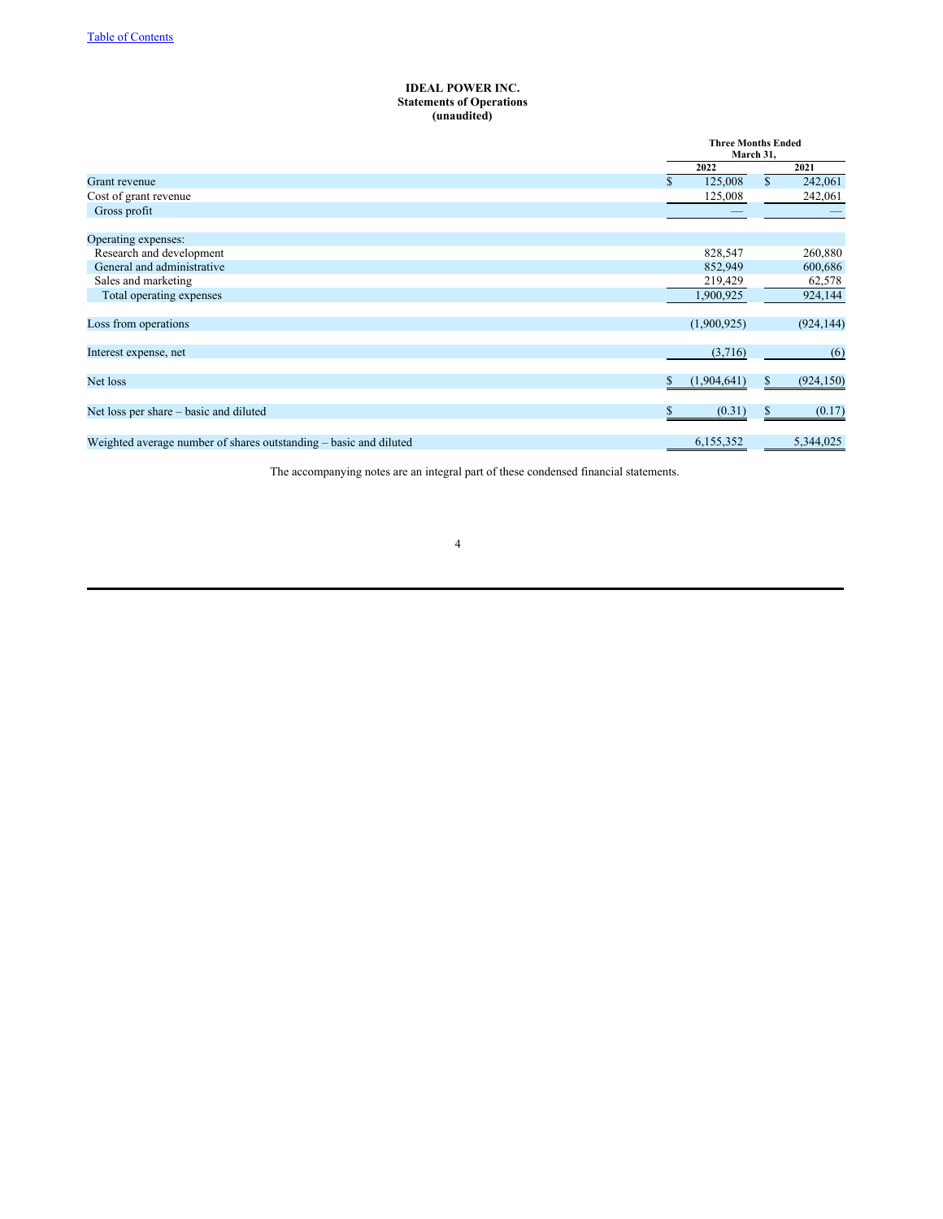## **IDEAL POWER INC. Statements of Operations (unaudited)**

| <b>Three Months Ended</b><br>March 31, |             |                        |            |
|----------------------------------------|-------------|------------------------|------------|
|                                        | 2022        |                        | 2021       |
| S.                                     | 125,008     | $\mathbf{s}$           | 242,061    |
|                                        | 125,008     |                        | 242,061    |
|                                        |             |                        |            |
|                                        |             |                        |            |
|                                        |             |                        |            |
|                                        | 828,547     |                        | 260,880    |
|                                        | 852,949     |                        | 600,686    |
|                                        | 219,429     |                        | 62,578     |
|                                        | 1,900,925   |                        | 924,144    |
|                                        |             |                        |            |
|                                        | (1,900,925) |                        | (924, 144) |
|                                        |             |                        |            |
|                                        |             |                        | (6)        |
|                                        |             |                        |            |
|                                        |             | S                      | (924, 150) |
|                                        |             |                        |            |
|                                        | (0.31)      |                        | (0.17)     |
|                                        |             |                        |            |
|                                        | 6,155,352   |                        | 5,344,025  |
|                                        |             | (3,716)<br>(1,904,641) |            |

The accompanying notes are an integral part of these condensed financial statements.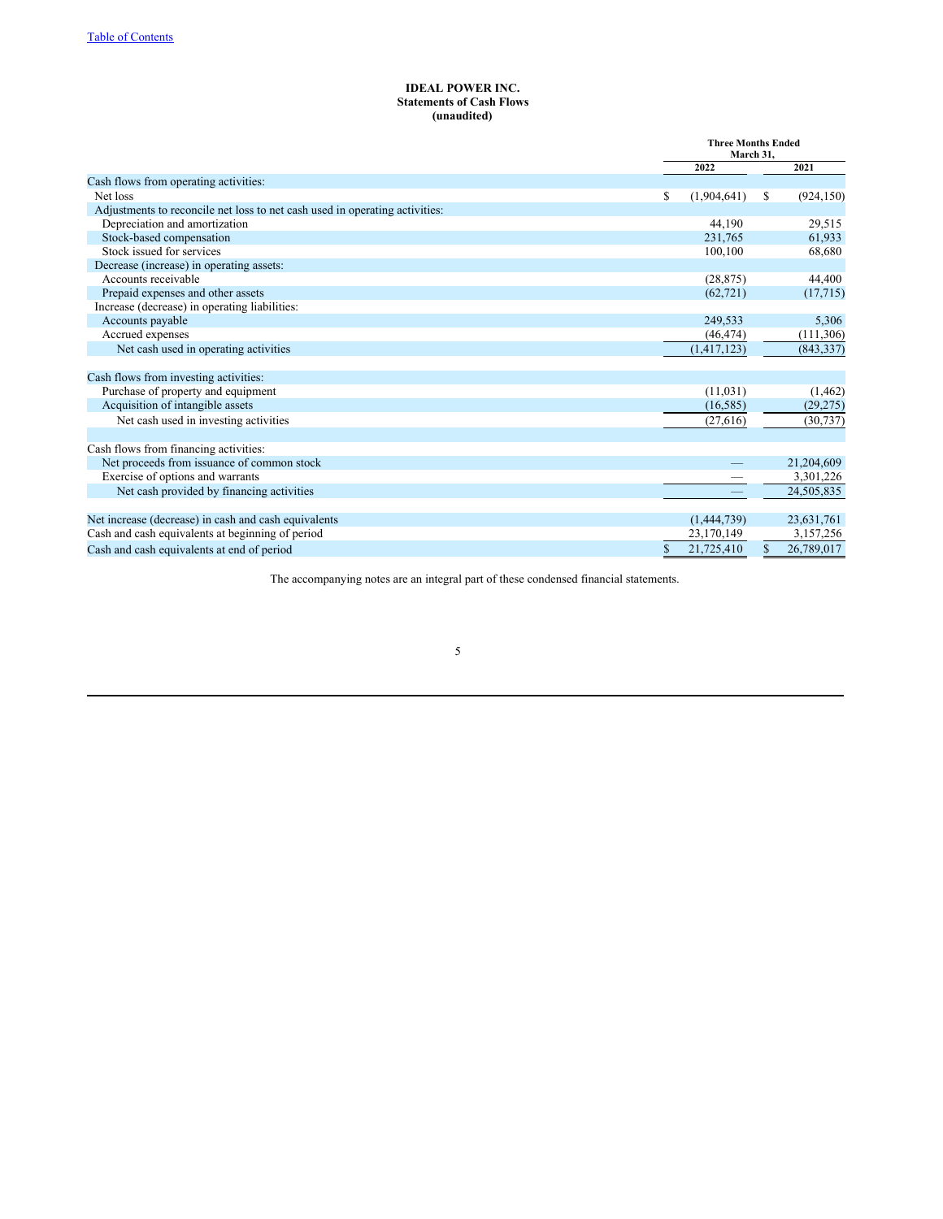## **IDEAL POWER INC. Statements of Cash Flows (unaudited)**

|                                                                             | <b>Three Months Ended</b><br>March 31. |    |            |
|-----------------------------------------------------------------------------|----------------------------------------|----|------------|
|                                                                             | 2022                                   |    | 2021       |
| Cash flows from operating activities:                                       |                                        |    |            |
| Net loss                                                                    | \$<br>(1,904,641)                      | S. | (924, 150) |
| Adjustments to reconcile net loss to net cash used in operating activities: |                                        |    |            |
| Depreciation and amortization                                               | 44,190                                 |    | 29,515     |
| Stock-based compensation                                                    | 231,765                                |    | 61,933     |
| Stock issued for services                                                   | 100,100                                |    | 68,680     |
| Decrease (increase) in operating assets:                                    |                                        |    |            |
| Accounts receivable                                                         | (28, 875)                              |    | 44,400     |
| Prepaid expenses and other assets                                           | (62, 721)                              |    | (17,715)   |
| Increase (decrease) in operating liabilities:                               |                                        |    |            |
| Accounts payable                                                            | 249,533                                |    | 5,306      |
| Accrued expenses                                                            | (46, 474)                              |    | (111,306)  |
| Net cash used in operating activities                                       | (1,417,123)                            |    | (843, 337) |
| Cash flows from investing activities:                                       |                                        |    |            |
| Purchase of property and equipment                                          | (11, 031)                              |    | (1, 462)   |
| Acquisition of intangible assets                                            | (16, 585)                              |    | (29, 275)  |
| Net cash used in investing activities                                       | (27, 616)                              |    | (30, 737)  |
| Cash flows from financing activities:                                       |                                        |    |            |
| Net proceeds from issuance of common stock                                  |                                        |    | 21,204,609 |
| Exercise of options and warrants                                            |                                        |    | 3,301,226  |
| Net cash provided by financing activities                                   |                                        |    | 24,505,835 |
|                                                                             |                                        |    |            |
| Net increase (decrease) in cash and cash equivalents                        | (1,444,739)                            |    | 23,631,761 |
| Cash and cash equivalents at beginning of period                            | 23,170,149                             |    | 3,157,256  |
| Cash and cash equivalents at end of period                                  | \$<br>21,725,410                       | \$ | 26,789,017 |

The accompanying notes are an integral part of these condensed financial statements.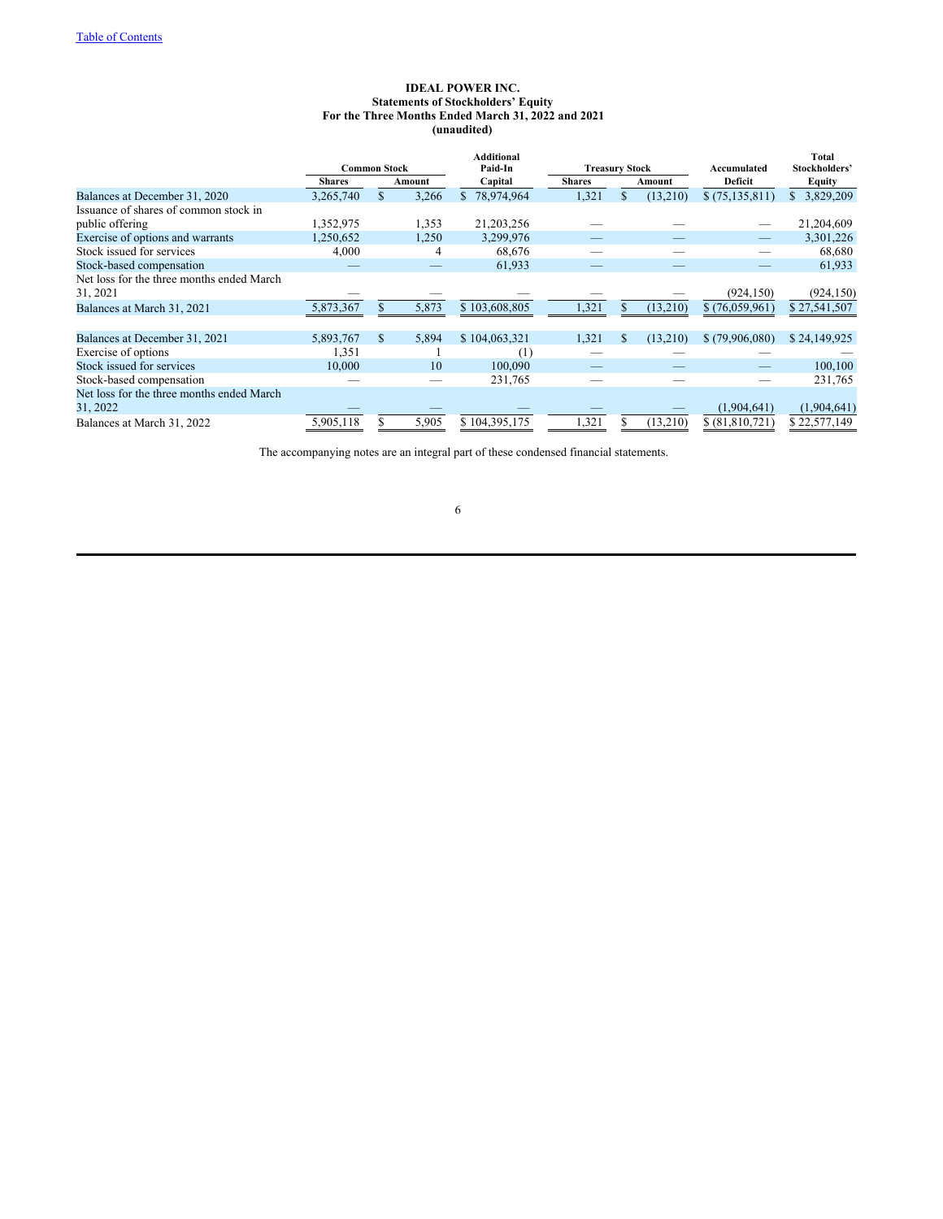## **IDEAL POWER INC. Statements of Stockholders' Equity For the Three Months Ended March 31, 2022 and 2021 (unaudited)**

|                                           | <b>Common Stock</b> |    |        | <b>Additional</b><br>Paid-In | <b>Treasury Stock</b> |        |          | Accumulated      | <b>Total</b><br>Stockholders' |  |  |         |        |
|-------------------------------------------|---------------------|----|--------|------------------------------|-----------------------|--------|----------|------------------|-------------------------------|--|--|---------|--------|
|                                           | <b>Shares</b>       |    | Amount | Capital                      | <b>Shares</b>         | Amount |          |                  |                               |  |  | Deficit | Equity |
| Balances at December 31, 2020             | 3,265,740           |    | 3,266  | 78,974,964<br>\$.            | 1,321                 | S.     | (13,210) | \$(75, 135, 811) | 3,829,209<br>S.               |  |  |         |        |
| Issuance of shares of common stock in     |                     |    |        |                              |                       |        |          |                  |                               |  |  |         |        |
| public offering                           | 1,352,975           |    | 1,353  | 21,203,256                   |                       |        |          |                  | 21,204,609                    |  |  |         |        |
| Exercise of options and warrants          | 1,250,652           |    | 1,250  | 3,299,976                    |                       |        |          |                  | 3,301,226                     |  |  |         |        |
| Stock issued for services                 | 4,000               |    | 4      | 68,676                       |                       |        |          |                  | 68,680                        |  |  |         |        |
| Stock-based compensation                  |                     |    |        | 61,933                       |                       |        |          |                  | 61,933                        |  |  |         |        |
| Net loss for the three months ended March |                     |    |        |                              |                       |        |          |                  |                               |  |  |         |        |
| 31, 2021                                  |                     |    |        |                              |                       |        |          | (924, 150)       | (924, 150)                    |  |  |         |        |
| Balances at March 31, 2021                | 5,873,367           |    | 5,873  | \$103,608,805                | 1,321                 |        | (13,210) | \$(76,059,961)   | \$27,541,507                  |  |  |         |        |
|                                           |                     |    |        |                              |                       |        |          |                  |                               |  |  |         |        |
| Balances at December 31, 2021             | 5,893,767           | S. | 5,894  | \$104,063,321                | 1,321                 | \$.    | (13,210) | \$(79,906,080)   | \$24,149,925                  |  |  |         |        |
| Exercise of options                       | 1,351               |    |        | (1)                          |                       |        |          |                  |                               |  |  |         |        |
| Stock issued for services                 | 10,000              |    | 10     | 100,090                      |                       |        |          |                  | 100,100                       |  |  |         |        |
| Stock-based compensation                  |                     |    |        | 231,765                      |                       |        |          |                  | 231,765                       |  |  |         |        |
| Net loss for the three months ended March |                     |    |        |                              |                       |        |          |                  |                               |  |  |         |        |
| 31, 2022                                  |                     |    |        |                              |                       |        |          | (1,904,641)      | (1,904,641)                   |  |  |         |        |
| Balances at March 31, 2022                | 5,905,118           |    | 5,905  | \$104,395,175                | 1,321                 |        | (13,210) | \$ (81,810,721)  | \$22,577,149                  |  |  |         |        |

The accompanying notes are an integral part of these condensed financial statements.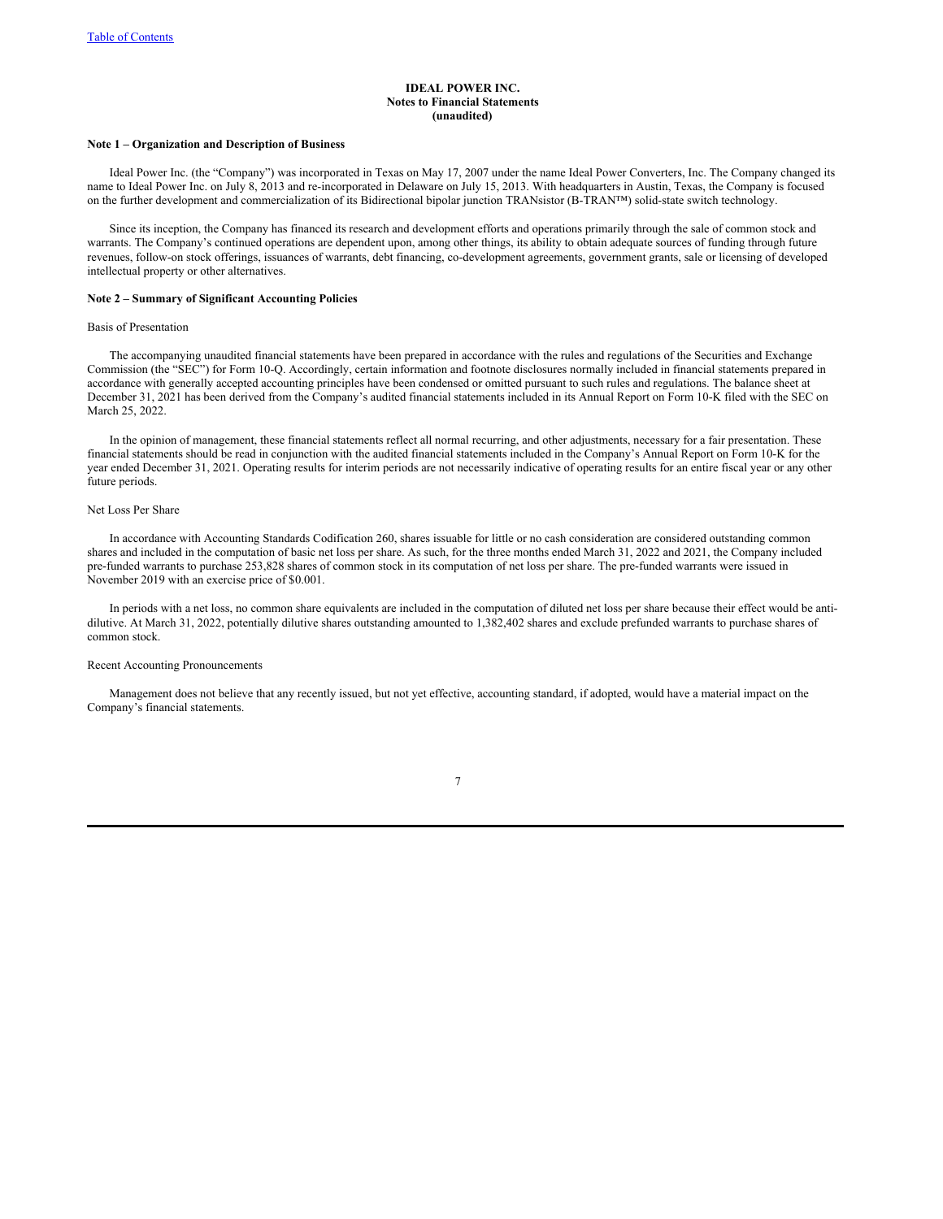### **IDEAL POWER INC. Notes to Financial Statements (unaudited)**

## **Note 1 – Organization and Description of Business**

Ideal Power Inc. (the "Company") was incorporated in Texas on May 17, 2007 under the name Ideal Power Converters, Inc. The Company changed its name to Ideal Power Inc. on July 8, 2013 and re-incorporated in Delaware on July 15, 2013. With headquarters in Austin, Texas, the Company is focused on the further development and commercialization of its Bidirectional bipolar junction TRANsistor (B-TRAN™) solid-state switch technology.

Since its inception, the Company has financed its research and development efforts and operations primarily through the sale of common stock and warrants. The Company's continued operations are dependent upon, among other things, its ability to obtain adequate sources of funding through future revenues, follow-on stock offerings, issuances of warrants, debt financing, co-development agreements, government grants, sale or licensing of developed intellectual property or other alternatives.

#### **Note 2 – Summary of Significant Accounting Policies**

#### Basis of Presentation

The accompanying unaudited financial statements have been prepared in accordance with the rules and regulations of the Securities and Exchange Commission (the "SEC") for Form 10-Q. Accordingly, certain information and footnote disclosures normally included in financial statements prepared in accordance with generally accepted accounting principles have been condensed or omitted pursuant to such rules and regulations. The balance sheet at December 31, 2021 has been derived from the Company's audited financial statements included in its Annual Report on Form 10-K filed with the SEC on March 25, 2022.

In the opinion of management, these financial statements reflect all normal recurring, and other adjustments, necessary for a fair presentation. These financial statements should be read in conjunction with the audited financial statements included in the Company's Annual Report on Form 10-K for the year ended December 31, 2021. Operating results for interim periods are not necessarily indicative of operating results for an entire fiscal year or any other future periods.

#### Net Loss Per Share

In accordance with Accounting Standards Codification 260, shares issuable for little or no cash consideration are considered outstanding common shares and included in the computation of basic net loss per share. As such, for the three months ended March 31, 2022 and 2021, the Company included pre-funded warrants to purchase 253,828 shares of common stock in its computation of net loss per share. The pre-funded warrants were issued in November 2019 with an exercise price of \$0.001.

In periods with a net loss, no common share equivalents are included in the computation of diluted net loss per share because their effect would be antidilutive. At March 31, 2022, potentially dilutive shares outstanding amounted to 1,382,402 shares and exclude prefunded warrants to purchase shares of common stock.

### Recent Accounting Pronouncements

Management does not believe that any recently issued, but not yet effective, accounting standard, if adopted, would have a material impact on the Company's financial statements.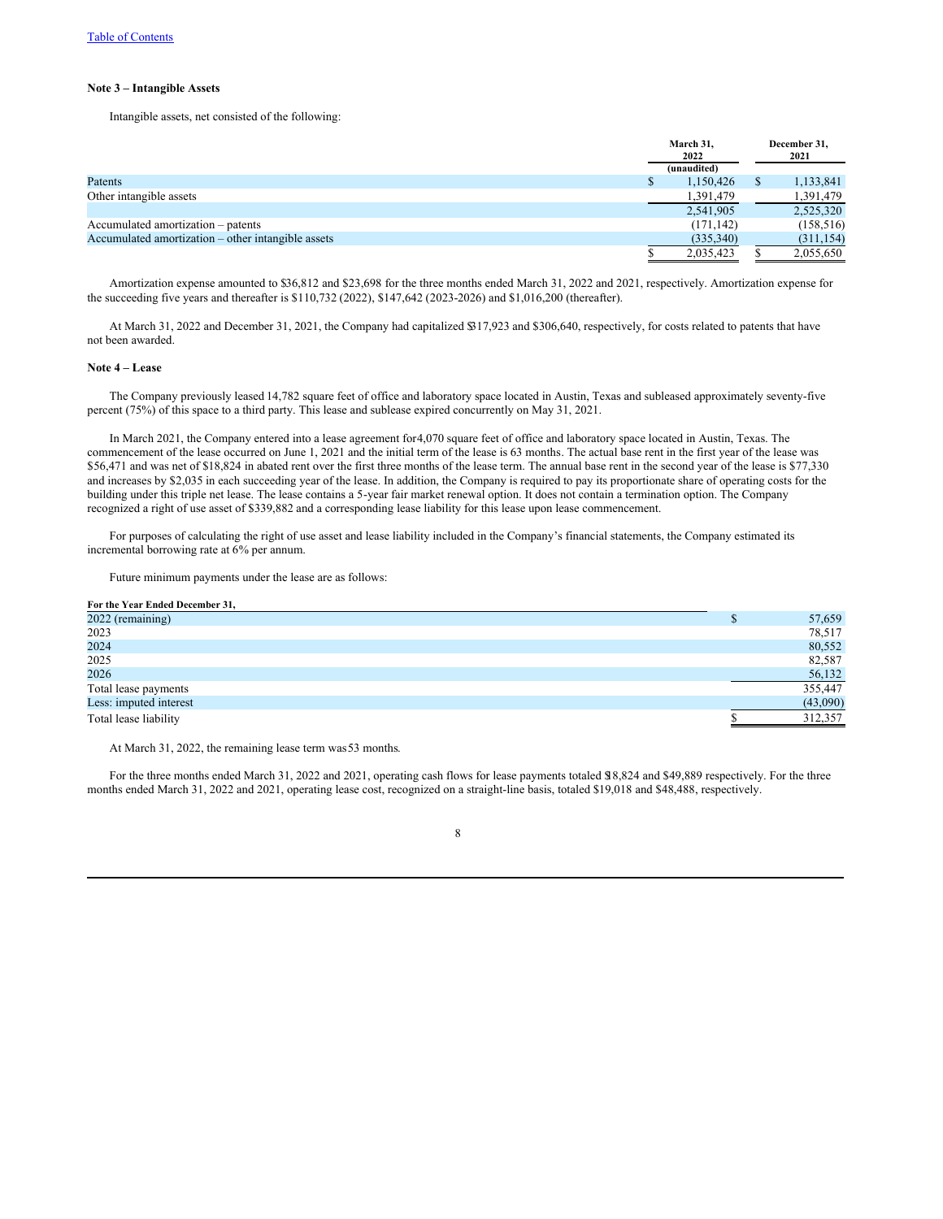### **Note 3 – Intangible Assets**

Intangible assets, net consisted of the following:

|                                                    |  | March 31,<br>2022<br>(unaudited) | December 31,<br>2021 |            |
|----------------------------------------------------|--|----------------------------------|----------------------|------------|
| Patents                                            |  | 1,150,426                        |                      | 1,133,841  |
| Other intangible assets                            |  | 1,391,479                        |                      | 1,391,479  |
|                                                    |  | 2,541,905                        |                      | 2,525,320  |
| Accumulated amortization – patents                 |  | (171, 142)                       |                      | (158, 516) |
| Accumulated amortization – other intangible assets |  | (335,340)                        |                      | (311, 154) |
|                                                    |  | 2,035,423                        |                      | 2,055,650  |

Amortization expense amounted to \$36,812 and \$23,698 for the three months ended March 31, 2022 and 2021, respectively. Amortization expense for the succeeding five years and thereafter is \$110,732 (2022), \$147,642 (2023-2026) and \$1,016,200 (thereafter).

At March 31, 2022 and December 31, 2021, the Company had capitalized \$317,923 and \$306,640, respectively, for costs related to patents that have not been awarded.

#### **Note 4 – Lease**

The Company previously leased 14,782 square feet of office and laboratory space located in Austin, Texas and subleased approximately seventy-five percent (75%) of this space to a third party. This lease and sublease expired concurrently on May 31, 2021.

In March 2021, the Company entered into a lease agreement for4,070 square feet of office and laboratory space located in Austin, Texas. The commencement of the lease occurred on June 1, 2021 and the initial term of the lease is 63 months. The actual base rent in the first year of the lease was \$56,471 and was net of \$18,824 in abated rent over the first three months of the lease term. The annual base rent in the second year of the lease is \$77,330 and increases by \$2,035 in each succeeding year of the lease. In addition, the Company is required to pay its proportionate share of operating costs for the building under this triple net lease. The lease contains a 5-year fair market renewal option. It does not contain a termination option. The Company recognized a right of use asset of \$339,882 and a corresponding lease liability for this lease upon lease commencement.

For purposes of calculating the right of use asset and lease liability included in the Company's financial statements, the Company estimated its incremental borrowing rate at 6% per annum.

Future minimum payments under the lease are as follows:

#### **For the Year Ended December 31,**

| 2022 (remaining)       | 57,659   |
|------------------------|----------|
| 2023                   | 78,517   |
| 2024                   | 80,552   |
| 2025                   | 82,587   |
| 2026                   | 56,132   |
| Total lease payments   | 355,447  |
| Less: imputed interest | (43,090) |
| Total lease liability  | 312,357  |

At March 31, 2022, the remaining lease term was 53 months.

For the three months ended March 31, 2022 and 2021, operating cash flows for lease payments totaled \$18,824 and \$49,889 respectively. For the three months ended March 31, 2022 and 2021, operating lease cost, recognized on a straight-line basis, totaled \$19,018 and \$48,488, respectively.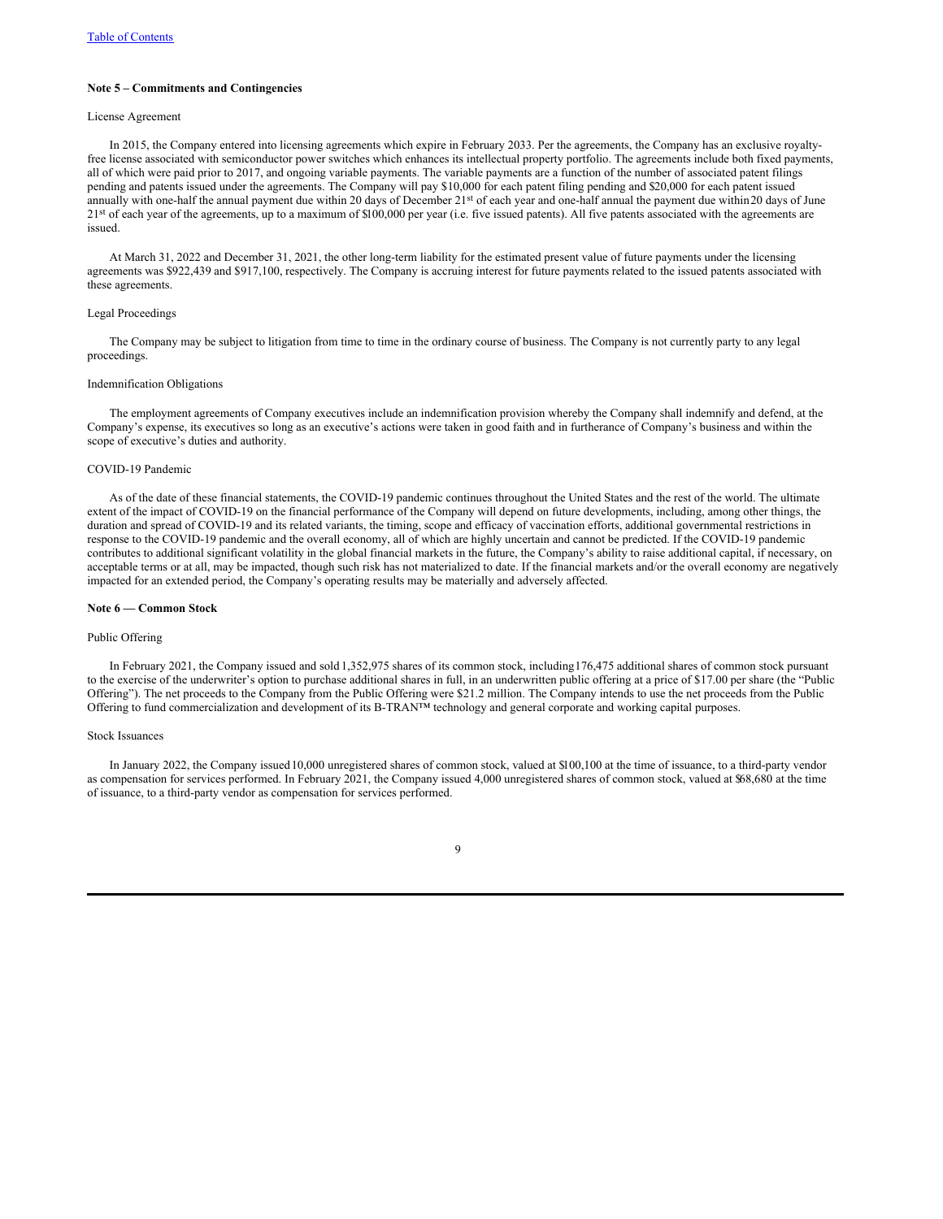### **Note 5 – Commitments and Contingencies**

### License Agreement

In 2015, the Company entered into licensing agreements which expire in February 2033. Per the agreements, the Company has an exclusive royaltyfree license associated with semiconductor power switches which enhances its intellectual property portfolio. The agreements include both fixed payments, all of which were paid prior to 2017, and ongoing variable payments. The variable payments are a function of the number of associated patent filings pending and patents issued under the agreements. The Company will pay \$10,000 for each patent filing pending and \$20,000 for each patent issued annually with one-half the annual payment due within 20 days of December 21st of each year and one-half annual the payment due within 20 days of June 21<sup>st</sup> of each year of the agreements, up to a maximum of \$100,000 per year (i.e. five issued patents). All five patents associated with the agreements are issued.

At March 31, 2022 and December 31, 2021, the other long-term liability for the estimated present value of future payments under the licensing agreements was \$922,439 and \$917,100, respectively. The Company is accruing interest for future payments related to the issued patents associated with these agreements.

## Legal Proceedings

The Company may be subject to litigation from time to time in the ordinary course of business. The Company is not currently party to any legal proceedings.

#### Indemnification Obligations

The employment agreements of Company executives include an indemnification provision whereby the Company shall indemnify and defend, at the Company's expense, its executives so long as an executive's actions were taken in good faith and in furtherance of Company's business and within the scope of executive's duties and authority.

#### COVID-19 Pandemic

As of the date of these financial statements, the COVID-19 pandemic continues throughout the United States and the rest of the world. The ultimate extent of the impact of COVID-19 on the financial performance of the Company will depend on future developments, including, among other things, the duration and spread of COVID-19 and its related variants, the timing, scope and efficacy of vaccination efforts, additional governmental restrictions in response to the COVID-19 pandemic and the overall economy, all of which are highly uncertain and cannot be predicted. If the COVID-19 pandemic contributes to additional significant volatility in the global financial markets in the future, the Company's ability to raise additional capital, if necessary, on acceptable terms or at all, may be impacted, though such risk has not materialized to date. If the financial markets and/or the overall economy are negatively impacted for an extended period, the Company's operating results may be materially and adversely affected.

#### **Note 6 — Common Stock**

#### Public Offering

In February 2021, the Company issued and sold 1,352,975 shares of its common stock, including176,475 additional shares of common stock pursuant to the exercise of the underwriter's option to purchase additional shares in full, in an underwritten public offering at a price of \$17.00 per share (the "Public Offering"). The net proceeds to the Company from the Public Offering were \$21.2 million. The Company intends to use the net proceeds from the Public Offering to fund commercialization and development of its B-TRAN™ technology and general corporate and working capital purposes.

#### Stock Issuances

In January 2022, the Company issued10,000 unregistered shares of common stock, valued at \$100,100 at the time of issuance, to a third-party vendor as compensation for services performed. In February 2021, the Company issued 4,000 unregistered shares of common stock, valued at \$68,680 at the time of issuance, to a third-party vendor as compensation for services performed.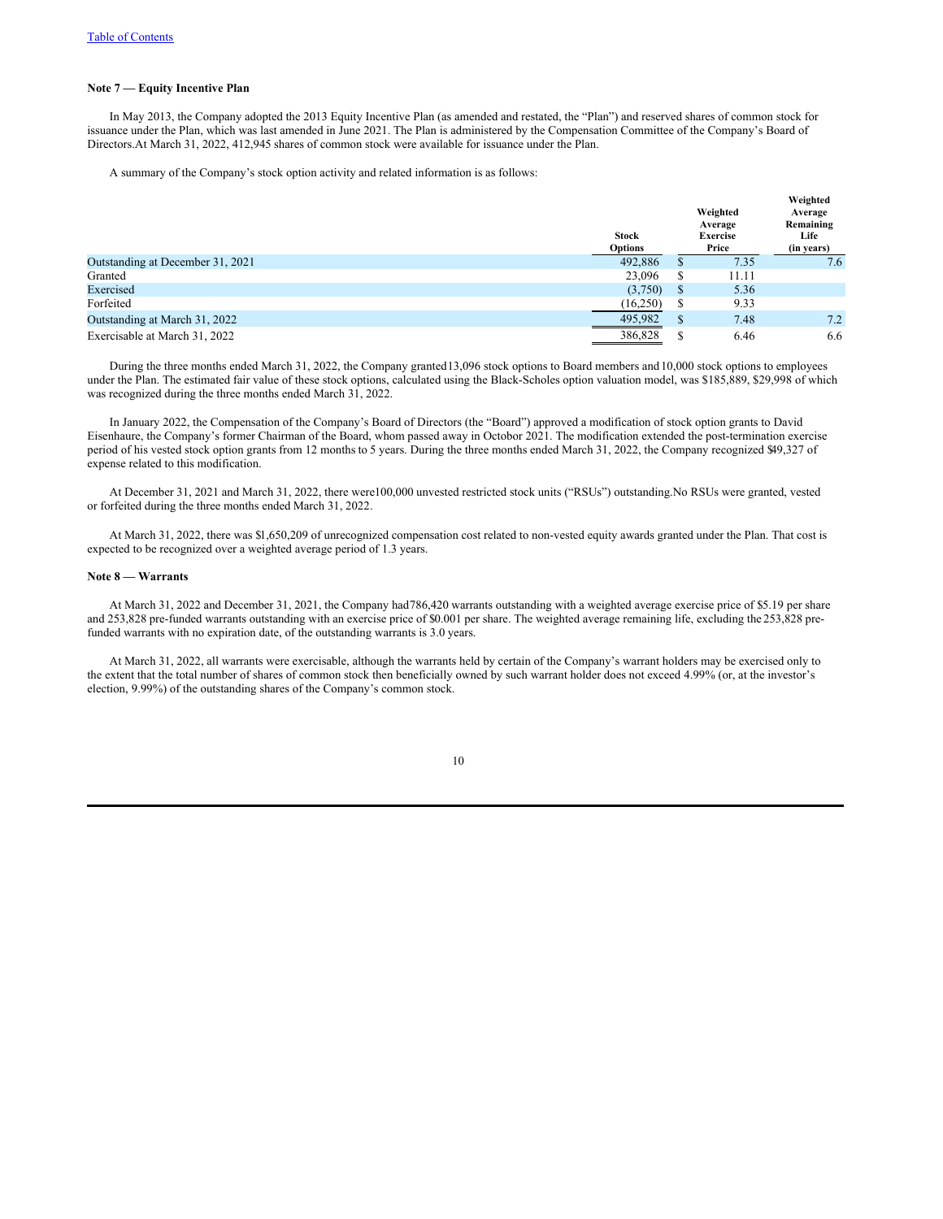#### **Note 7 — Equity Incentive Plan**

In May 2013, the Company adopted the 2013 Equity Incentive Plan (as amended and restated, the "Plan") and reserved shares of common stock for issuance under the Plan, which was last amended in June 2021. The Plan is administered by the Compensation Committee of the Company's Board of Directors.At March 31, 2022, 412,945 shares of common stock were available for issuance under the Plan.

A summary of the Company's stock option activity and related information is as follows:

|                                  | <b>Stock</b><br>Options |              | Weighted<br>Average<br><b>Exercise</b><br>Price | Weighted<br>Average<br>Remaining<br>Life<br>(in years) |
|----------------------------------|-------------------------|--------------|-------------------------------------------------|--------------------------------------------------------|
| Outstanding at December 31, 2021 | 492,886                 | S            | 7.35                                            | 7.6                                                    |
| Granted                          | 23,096                  | S            | 11.11                                           |                                                        |
| Exercised                        | (3,750)                 | <sup>S</sup> | 5.36                                            |                                                        |
| Forfeited                        | (16,250)                | S            | 9.33                                            |                                                        |
| Outstanding at March 31, 2022    | 495,982                 | \$           | 7.48                                            | 7.2                                                    |
| Exercisable at March 31, 2022    | 386,828                 |              | 6.46                                            | 6.6                                                    |

During the three months ended March 31, 2022, the Company granted13,096 stock options to Board members and 10,000 stock options to employees under the Plan. The estimated fair value of these stock options, calculated using the Black-Scholes option valuation model, was \$185,889, \$29,998 of which was recognized during the three months ended March 31, 2022.

In January 2022, the Compensation of the Company's Board of Directors (the "Board") approved a modification of stock option grants to David Eisenhaure, the Company's former Chairman of the Board, whom passed away in Octobor 2021. The modification extended the post-termination exercise period of his vested stock option grants from 12 months to 5 years. During the three months ended March 31, 2022, the Company recognized \$49,327 of expense related to this modification.

At December 31, 2021 and March 31, 2022, there were100,000 unvested restricted stock units ("RSUs") outstanding.No RSUs were granted, vested or forfeited during the three months ended March 31, 2022.

At March 31, 2022, there was \$1,650,209 of unrecognized compensation cost related to non-vested equity awards granted under the Plan. That cost is expected to be recognized over a weighted average period of 1.3 years.

### **Note 8 — Warrants**

At March 31, 2022 and December 31, 2021, the Company had786,420 warrants outstanding with a weighted average exercise price of \$5.19 per share and 253,828 pre-funded warrants outstanding with an exercise price of \$0.001 per share. The weighted average remaining life, excluding the 253,828 prefunded warrants with no expiration date, of the outstanding warrants is 3.0 years.

At March 31, 2022, all warrants were exercisable, although the warrants held by certain of the Company's warrant holders may be exercised only to the extent that the total number of shares of common stock then beneficially owned by such warrant holder does not exceed 4.99% (or, at the investor's election, 9.99%) of the outstanding shares of the Company's common stock.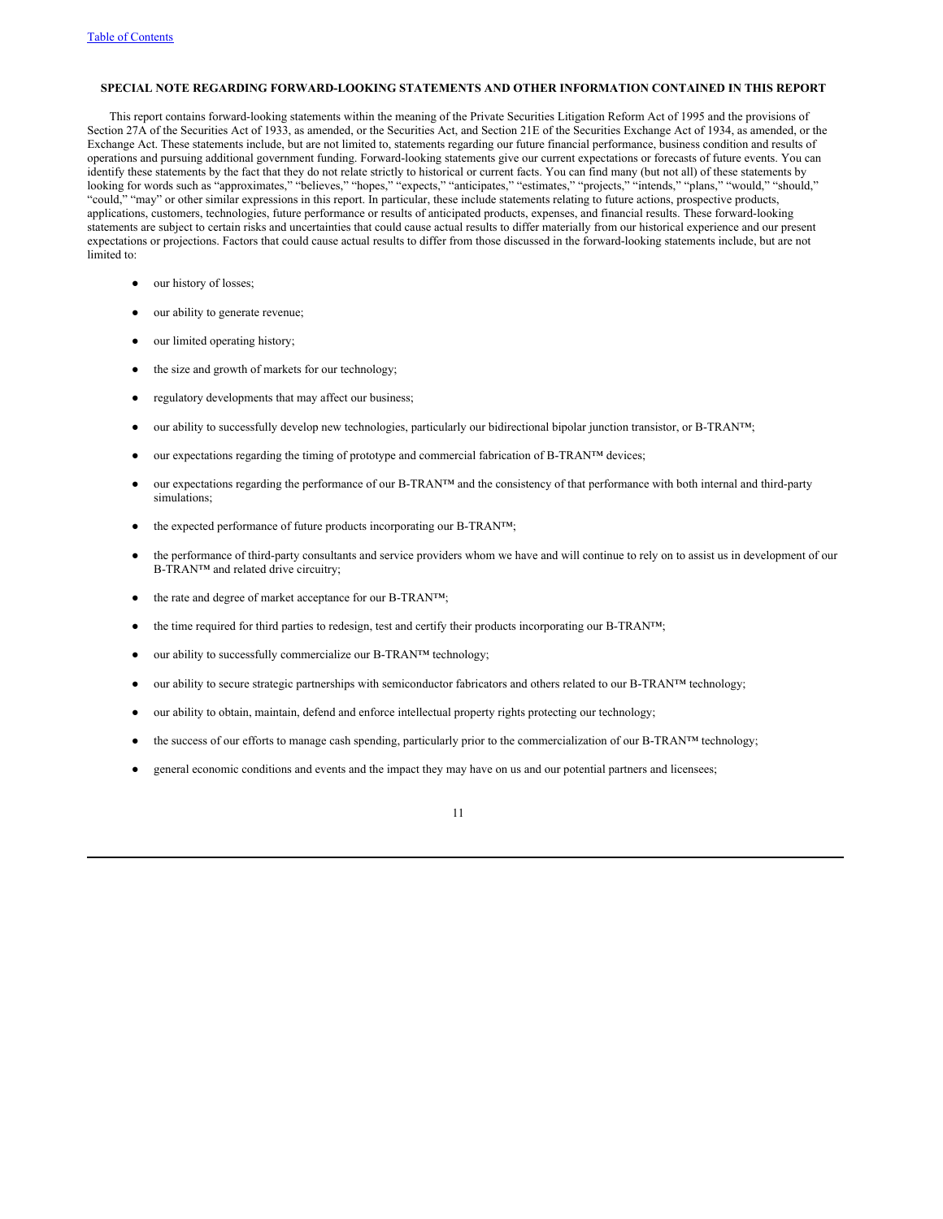#### **SPECIAL NOTE REGARDING FORWARD-LOOKING STATEMENTS AND OTHER INFORMATION CONTAINED IN THIS REPORT**

This report contains forward-looking statements within the meaning of the Private Securities Litigation Reform Act of 1995 and the provisions of Section 27A of the Securities Act of 1933, as amended, or the Securities Act, and Section 21E of the Securities Exchange Act of 1934, as amended, or the Exchange Act. These statements include, but are not limited to, statements regarding our future financial performance, business condition and results of operations and pursuing additional government funding. Forward-looking statements give our current expectations or forecasts of future events. You can identify these statements by the fact that they do not relate strictly to historical or current facts. You can find many (but not all) of these statements by looking for words such as "approximates," "believes," "hopes," "expects," "anticipates," "estimates," "projects," "intends," "plans," "would," "should," "could," "may" or other similar expressions in this report. In particular, these include statements relating to future actions, prospective products, applications, customers, technologies, future performance or results of anticipated products, expenses, and financial results. These forward-looking statements are subject to certain risks and uncertainties that could cause actual results to differ materially from our historical experience and our present expectations or projections. Factors that could cause actual results to differ from those discussed in the forward-looking statements include, but are not limited to:

- our history of losses;
- our ability to generate revenue;
- our limited operating history;
- the size and growth of markets for our technology;
- regulatory developments that may affect our business;
- our ability to successfully develop new technologies, particularly our bidirectional bipolar junction transistor, or B-TRAN™;
- our expectations regarding the timing of prototype and commercial fabrication of B-TRAN™ devices;
- our expectations regarding the performance of our B-TRAN™ and the consistency of that performance with both internal and third-party simulations;
- the expected performance of future products incorporating our B-TRAN™;
- the performance of third-party consultants and service providers whom we have and will continue to rely on to assist us in development of our B-TRAN™ and related drive circuitry;
- the rate and degree of market acceptance for our B-TRAN™;
- the time required for third parties to redesign, test and certify their products incorporating our B-TRAN™;
- our ability to successfully commercialize our B-TRAN™ technology;
- our ability to secure strategic partnerships with semiconductor fabricators and others related to our B-TRAN™ technology;
- our ability to obtain, maintain, defend and enforce intellectual property rights protecting our technology;
- the success of our efforts to manage cash spending, particularly prior to the commercialization of our B-TRAN™ technology;
- general economic conditions and events and the impact they may have on us and our potential partners and licensees;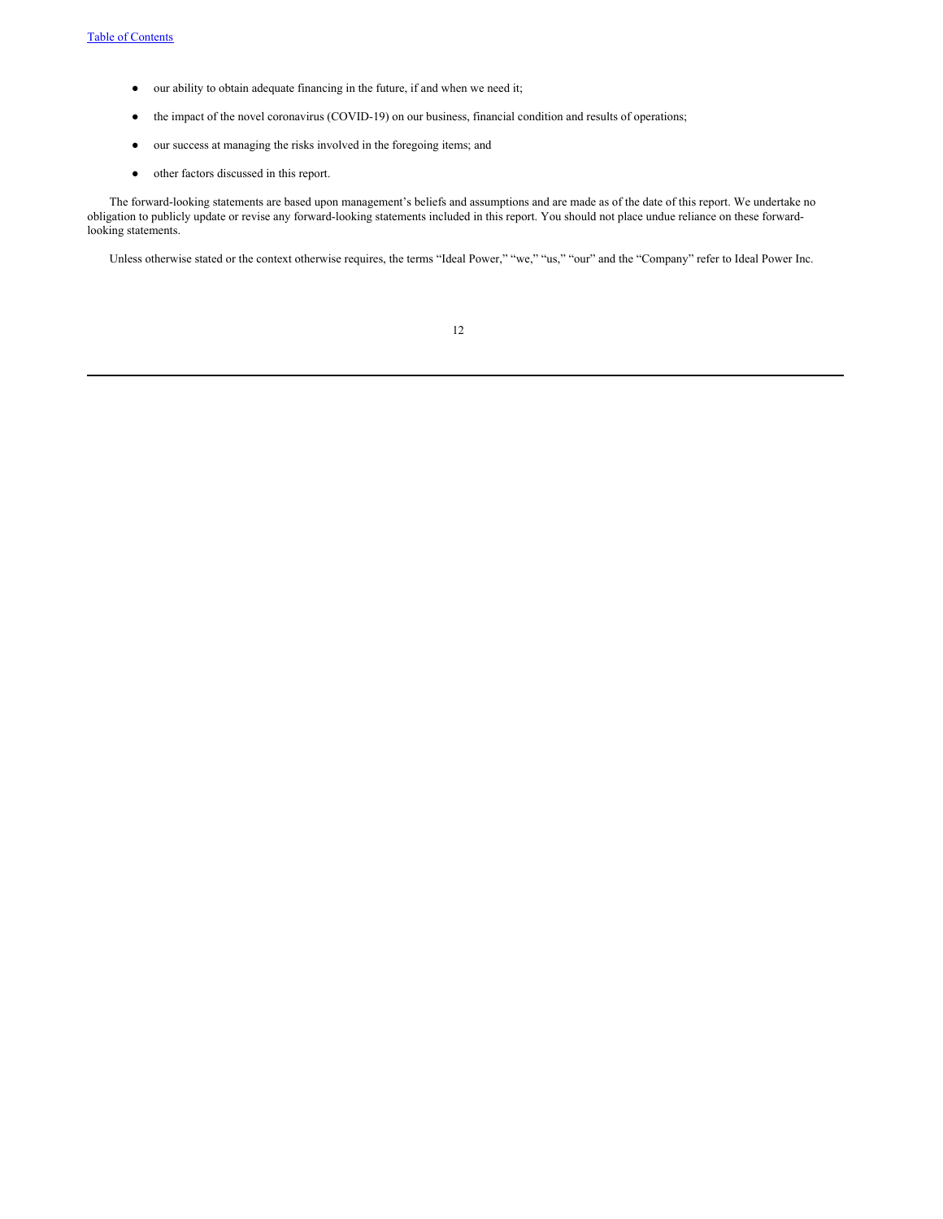- our ability to obtain adequate financing in the future, if and when we need it;
- the impact of the novel coronavirus (COVID-19) on our business, financial condition and results of operations;
- our success at managing the risks involved in the foregoing items; and
- other factors discussed in this report.

The forward-looking statements are based upon management's beliefs and assumptions and are made as of the date of this report. We undertake no obligation to publicly update or revise any forward-looking statements included in this report. You should not place undue reliance on these forwardlooking statements.

Unless otherwise stated or the context otherwise requires, the terms "Ideal Power," "we," "us," "our" and the "Company" refer to Ideal Power Inc.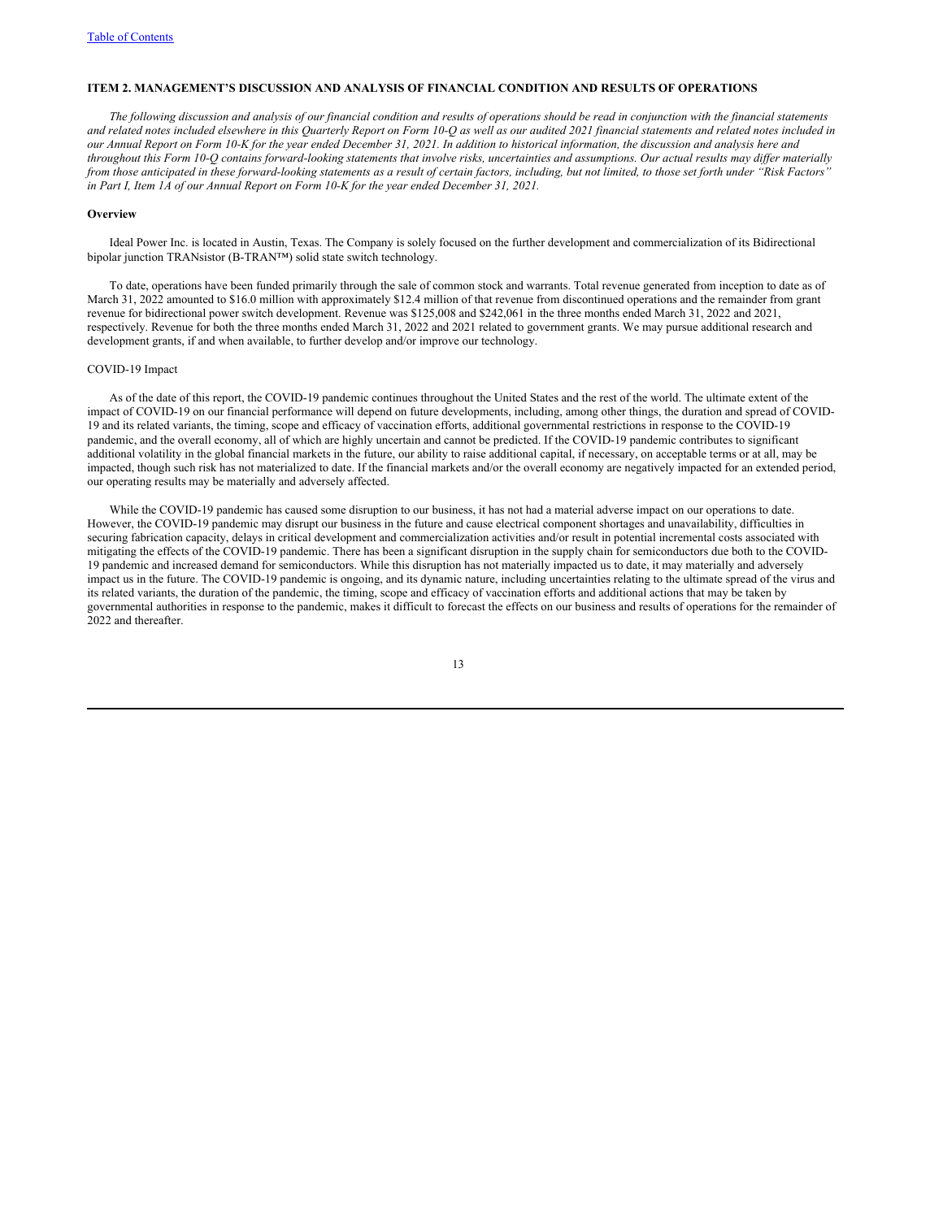#### **ITEM 2. MANAGEMENT'S DISCUSSION AND ANALYSIS OF FINANCIAL CONDITION AND RESULTS OF OPERATIONS**

The following discussion and analysis of our financial condition and results of operations should be read in conjunction with the financial statements and related notes included elsewhere in this Ouarterly Report on Form 10-O as well as our audited 2021 financial statements and related notes included in our Annual Report on Form 10-K for the vear ended December 31, 2021. In addition to historical information, the discussion and analysis here and throughout this Form 10-Q contains forward-looking statements that involve risks, uncertainties and assumptions. Our actual results may differ materially from those anticipated in these forward-looking statements as a result of certain factors, including, but not limited, to those set forth under "Risk Factors' *in Part I, Item 1A of our Annual Report on Form 10-K for the year ended December 31, 2021.*

#### **Overview**

Ideal Power Inc. is located in Austin, Texas. The Company is solely focused on the further development and commercialization of its Bidirectional bipolar junction TRANsistor (B-TRAN™) solid state switch technology.

To date, operations have been funded primarily through the sale of common stock and warrants. Total revenue generated from inception to date as of March 31, 2022 amounted to \$16.0 million with approximately \$12.4 million of that revenue from discontinued operations and the remainder from grant revenue for bidirectional power switch development. Revenue was \$125,008 and \$242,061 in the three months ended March 31, 2022 and 2021, respectively. Revenue for both the three months ended March 31, 2022 and 2021 related to government grants. We may pursue additional research and development grants, if and when available, to further develop and/or improve our technology.

#### COVID-19 Impact

As of the date of this report, the COVID-19 pandemic continues throughout the United States and the rest of the world. The ultimate extent of the impact of COVID-19 on our financial performance will depend on future developments, including, among other things, the duration and spread of COVID-19 and its related variants, the timing, scope and efficacy of vaccination efforts, additional governmental restrictions in response to the COVID-19 pandemic, and the overall economy, all of which are highly uncertain and cannot be predicted. If the COVID-19 pandemic contributes to significant additional volatility in the global financial markets in the future, our ability to raise additional capital, if necessary, on acceptable terms or at all, may be impacted, though such risk has not materialized to date. If the financial markets and/or the overall economy are negatively impacted for an extended period, our operating results may be materially and adversely affected.

While the COVID-19 pandemic has caused some disruption to our business, it has not had a material adverse impact on our operations to date. However, the COVID-19 pandemic may disrupt our business in the future and cause electrical component shortages and unavailability, difficulties in securing fabrication capacity, delays in critical development and commercialization activities and/or result in potential incremental costs associated with mitigating the effects of the COVID-19 pandemic. There has been a significant disruption in the supply chain for semiconductors due both to the COVID-19 pandemic and increased demand for semiconductors. While this disruption has not materially impacted us to date, it may materially and adversely impact us in the future. The COVID-19 pandemic is ongoing, and its dynamic nature, including uncertainties relating to the ultimate spread of the virus and its related variants, the duration of the pandemic, the timing, scope and efficacy of vaccination efforts and additional actions that may be taken by governmental authorities in response to the pandemic, makes it difficult to forecast the effects on our business and results of operations for the remainder of 2022 and thereafter.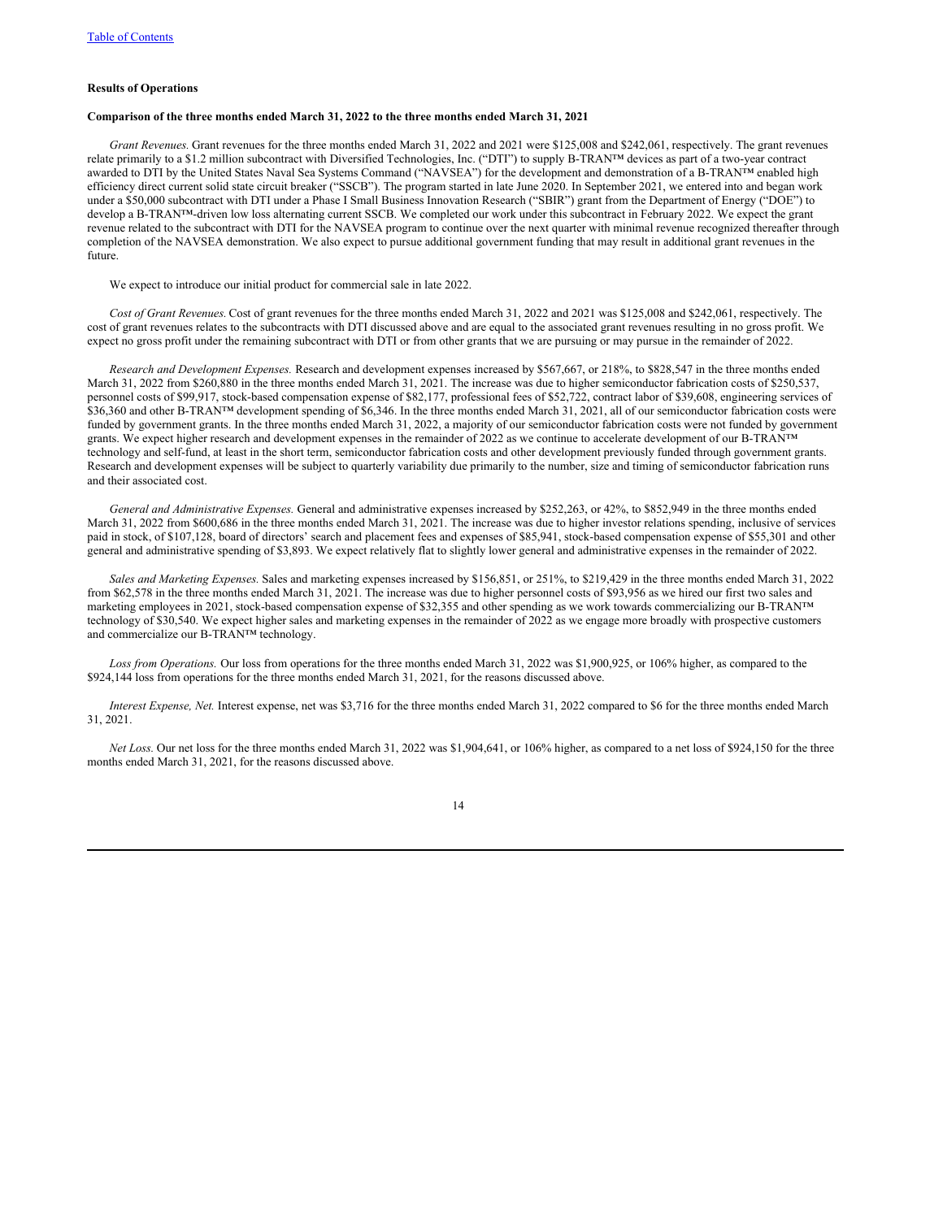#### **Results of Operations**

## **Comparison of the three months ended March 31, 2022 to the three months ended March 31, 2021**

*Grant Revenues.* Grant revenues for the three months ended March 31, 2022 and 2021 were \$125,008 and \$242,061, respectively. The grant revenues relate primarily to a \$1.2 million subcontract with Diversified Technologies, Inc. ("DTI") to supply B-TRAN™ devices as part of a two-year contract awarded to DTI by the United States Naval Sea Systems Command ("NAVSEA") for the development and demonstration of a B-TRAN™ enabled high efficiency direct current solid state circuit breaker ("SSCB"). The program started in late June 2020. In September 2021, we entered into and began work under a \$50,000 subcontract with DTI under a Phase I Small Business Innovation Research ("SBIR") grant from the Department of Energy ("DOE") to develop a B-TRAN™-driven low loss alternating current SSCB. We completed our work under this subcontract in February 2022. We expect the grant revenue related to the subcontract with DTI for the NAVSEA program to continue over the next quarter with minimal revenue recognized thereafter through completion of the NAVSEA demonstration. We also expect to pursue additional government funding that may result in additional grant revenues in the future.

We expect to introduce our initial product for commercial sale in late 2022.

*Cost of Grant Revenues.* Cost of grant revenues for the three months ended March 31, 2022 and 2021 was \$125,008 and \$242,061, respectively. The cost of grant revenues relates to the subcontracts with DTI discussed above and are equal to the associated grant revenues resulting in no gross profit. We expect no gross profit under the remaining subcontract with DTI or from other grants that we are pursuing or may pursue in the remainder of 2022.

*Research and Development Expenses.* Research and development expenses increased by \$567,667, or 218%, to \$828,547 in the three months ended March 31, 2022 from \$260,880 in the three months ended March 31, 2021. The increase was due to higher semiconductor fabrication costs of \$250,537, personnel costs of \$99,917, stock-based compensation expense of \$82,177, professional fees of \$52,722, contract labor of \$39,608, engineering services of \$36,360 and other B-TRAN™ development spending of \$6,346. In the three months ended March 31, 2021, all of our semiconductor fabrication costs were funded by government grants. In the three months ended March 31, 2022, a majority of our semiconductor fabrication costs were not funded by government grants. We expect higher research and development expenses in the remainder of 2022 as we continue to accelerate development of our B-TRAN™ technology and self-fund, at least in the short term, semiconductor fabrication costs and other development previously funded through government grants. Research and development expenses will be subject to quarterly variability due primarily to the number, size and timing of semiconductor fabrication runs and their associated cost.

*General and Administrative Expenses.* General and administrative expenses increased by \$252,263, or 42%, to \$852,949 in the three months ended March 31, 2022 from \$600,686 in the three months ended March 31, 2021. The increase was due to higher investor relations spending, inclusive of services paid in stock, of \$107,128, board of directors' search and placement fees and expenses of \$85,941, stock-based compensation expense of \$55,301 and other general and administrative spending of \$3,893. We expect relatively flat to slightly lower general and administrative expenses in the remainder of 2022.

*Sales and Marketing Expenses.* Sales and marketing expenses increased by \$156,851, or 251%, to \$219,429 in the three months ended March 31, 2022 from \$62,578 in the three months ended March 31, 2021. The increase was due to higher personnel costs of \$93,956 as we hired our first two sales and marketing employees in 2021, stock-based compensation expense of \$32,355 and other spending as we work towards commercializing our B-TRAN™ technology of \$30,540. We expect higher sales and marketing expenses in the remainder of 2022 as we engage more broadly with prospective customers and commercialize our B-TRAN™ technology.

*Loss from Operations.* Our loss from operations for the three months ended March 31, 2022 was \$1,900,925, or 106% higher, as compared to the \$924,144 loss from operations for the three months ended March 31, 2021, for the reasons discussed above.

*Interest Expense, Net.* Interest expense, net was \$3,716 for the three months ended March 31, 2022 compared to \$6 for the three months ended March 31, 2021.

*Net Loss.* Our net loss for the three months ended March 31, 2022 was \$1,904,641, or 106% higher, as compared to a net loss of \$924,150 for the three months ended March 31, 2021, for the reasons discussed above.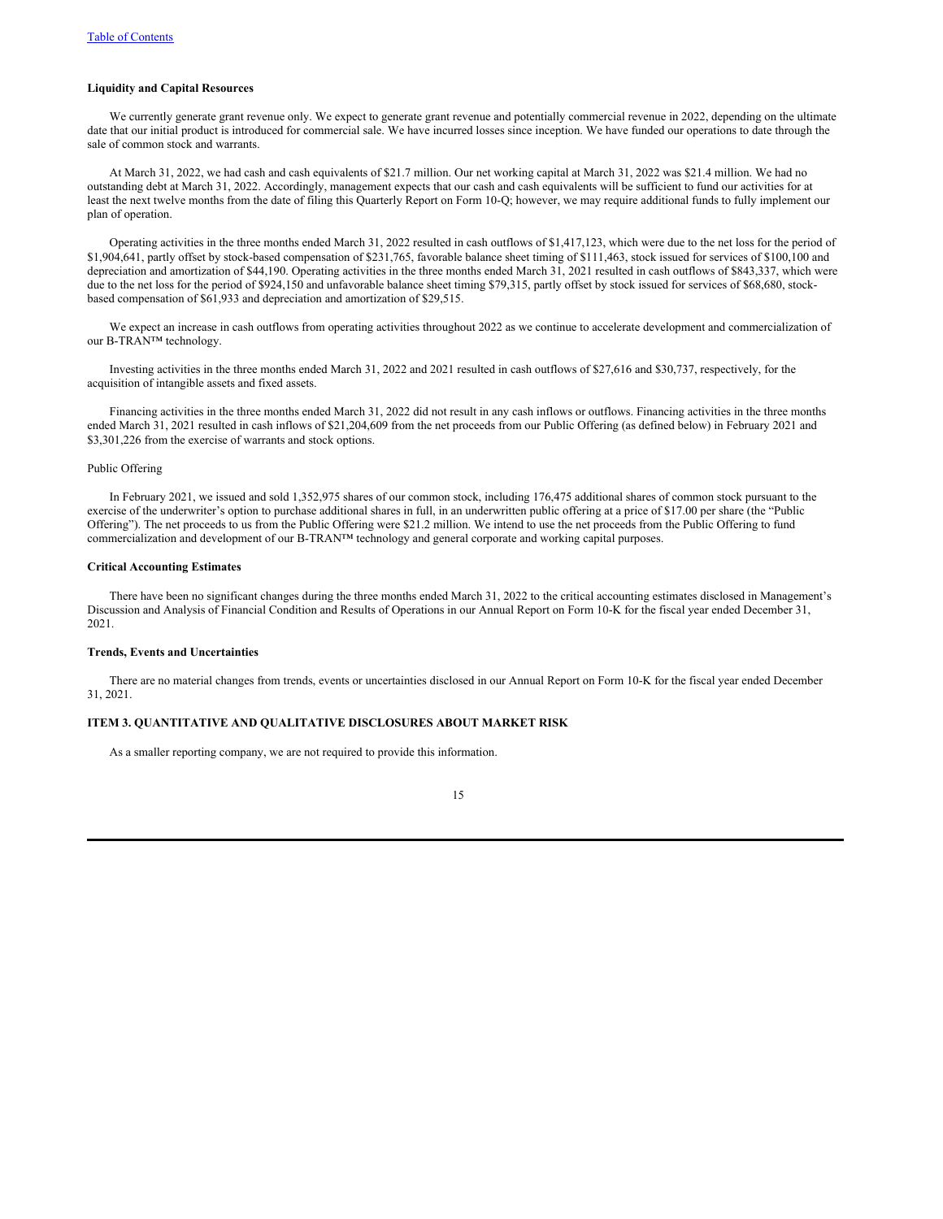#### **Liquidity and Capital Resources**

We currently generate grant revenue only. We expect to generate grant revenue and potentially commercial revenue in 2022, depending on the ultimate date that our initial product is introduced for commercial sale. We have incurred losses since inception. We have funded our operations to date through the sale of common stock and warrants.

At March 31, 2022, we had cash and cash equivalents of \$21.7 million. Our net working capital at March 31, 2022 was \$21.4 million. We had no outstanding debt at March 31, 2022. Accordingly, management expects that our cash and cash equivalents will be sufficient to fund our activities for at least the next twelve months from the date of filing this Quarterly Report on Form 10-Q; however, we may require additional funds to fully implement our plan of operation.

Operating activities in the three months ended March 31, 2022 resulted in cash outflows of \$1,417,123, which were due to the net loss for the period of \$1,904,641, partly offset by stock-based compensation of \$231,765, favorable balance sheet timing of \$111,463, stock issued for services of \$100,100 and depreciation and amortization of \$44,190. Operating activities in the three months ended March 31, 2021 resulted in cash outflows of \$843,337, which were due to the net loss for the period of \$924,150 and unfavorable balance sheet timing \$79,315, partly offset by stock issued for services of \$68,680, stockbased compensation of \$61,933 and depreciation and amortization of \$29,515.

We expect an increase in cash outflows from operating activities throughout 2022 as we continue to accelerate development and commercialization of our B-TRAN™ technology.

Investing activities in the three months ended March 31, 2022 and 2021 resulted in cash outflows of \$27,616 and \$30,737, respectively, for the acquisition of intangible assets and fixed assets.

Financing activities in the three months ended March 31, 2022 did not result in any cash inflows or outflows. Financing activities in the three months ended March 31, 2021 resulted in cash inflows of \$21,204,609 from the net proceeds from our Public Offering (as defined below) in February 2021 and \$3,301,226 from the exercise of warrants and stock options.

## Public Offering

In February 2021, we issued and sold 1,352,975 shares of our common stock, including 176,475 additional shares of common stock pursuant to the exercise of the underwriter's option to purchase additional shares in full, in an underwritten public offering at a price of \$17.00 per share (the "Public Offering"). The net proceeds to us from the Public Offering were \$21.2 million. We intend to use the net proceeds from the Public Offering to fund commercialization and development of our B-TRAN™ technology and general corporate and working capital purposes.

#### **Critical Accounting Estimates**

There have been no significant changes during the three months ended March 31, 2022 to the critical accounting estimates disclosed in Management's Discussion and Analysis of Financial Condition and Results of Operations in our Annual Report on Form 10-K for the fiscal year ended December 31, 2021.

## **Trends, Events and Uncertainties**

There are no material changes from trends, events or uncertainties disclosed in our Annual Report on Form 10-K for the fiscal year ended December 31, 2021.

### **ITEM 3. QUANTITATIVE AND QUALITATIVE DISCLOSURES ABOUT MARKET RISK**

As a smaller reporting company, we are not required to provide this information.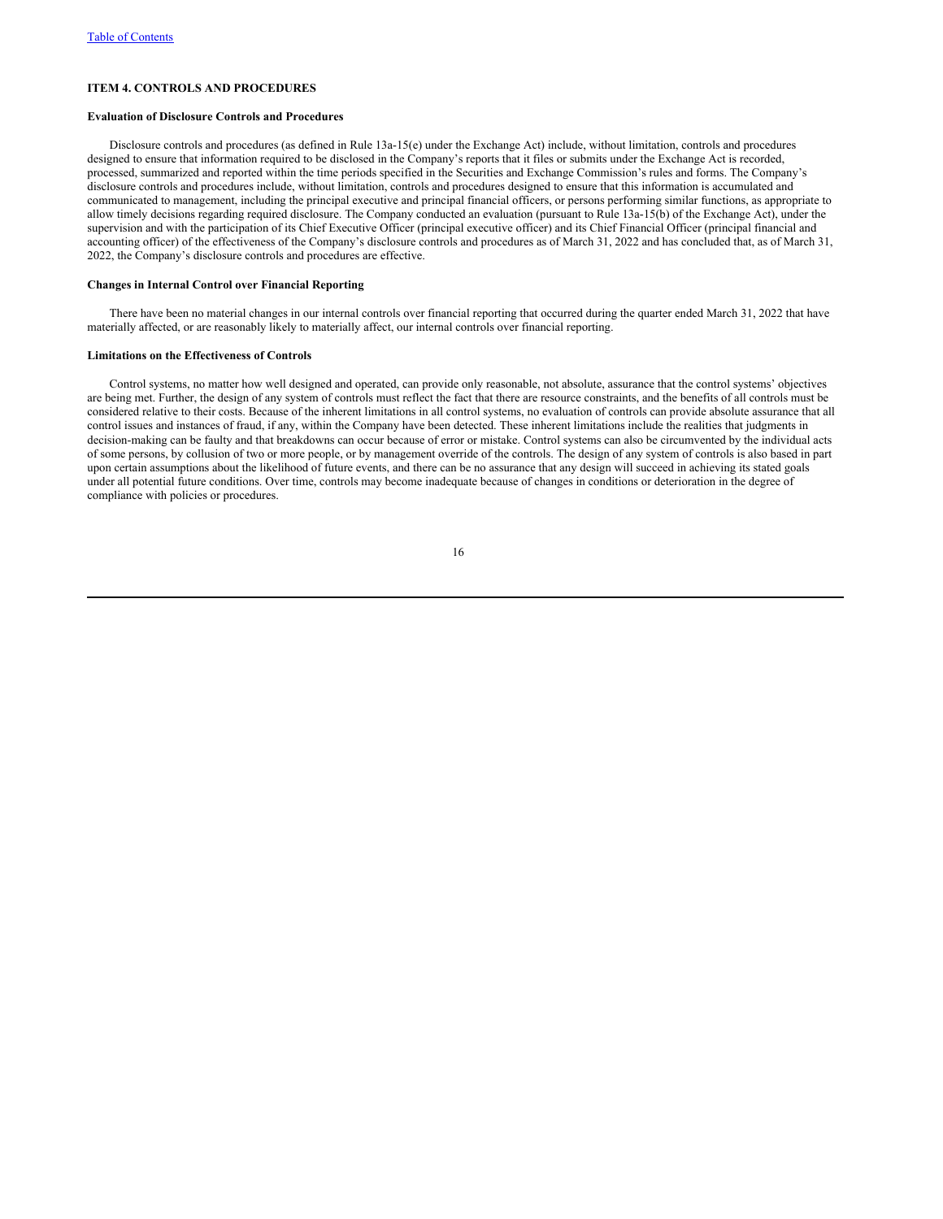## **ITEM 4. CONTROLS AND PROCEDURES**

#### **Evaluation of Disclosure Controls and Procedures**

Disclosure controls and procedures (as defined in Rule 13a-15(e) under the Exchange Act) include, without limitation, controls and procedures designed to ensure that information required to be disclosed in the Company's reports that it files or submits under the Exchange Act is recorded, processed, summarized and reported within the time periods specified in the Securities and Exchange Commission's rules and forms. The Company's disclosure controls and procedures include, without limitation, controls and procedures designed to ensure that this information is accumulated and communicated to management, including the principal executive and principal financial officers, or persons performing similar functions, as appropriate to allow timely decisions regarding required disclosure. The Company conducted an evaluation (pursuant to Rule 13a-15(b) of the Exchange Act), under the supervision and with the participation of its Chief Executive Officer (principal executive officer) and its Chief Financial Officer (principal financial and accounting officer) of the effectiveness of the Company's disclosure controls and procedures as of March 31, 2022 and has concluded that, as of March 31, 2022, the Company's disclosure controls and procedures are effective.

#### **Changes in Internal Control over Financial Reporting**

There have been no material changes in our internal controls over financial reporting that occurred during the quarter ended March 31, 2022 that have materially affected, or are reasonably likely to materially affect, our internal controls over financial reporting.

#### **Limitations on the Effectiveness of Controls**

Control systems, no matter how well designed and operated, can provide only reasonable, not absolute, assurance that the control systems' objectives are being met. Further, the design of any system of controls must reflect the fact that there are resource constraints, and the benefits of all controls must be considered relative to their costs. Because of the inherent limitations in all control systems, no evaluation of controls can provide absolute assurance that all control issues and instances of fraud, if any, within the Company have been detected. These inherent limitations include the realities that judgments in decision-making can be faulty and that breakdowns can occur because of error or mistake. Control systems can also be circumvented by the individual acts of some persons, by collusion of two or more people, or by management override of the controls. The design of any system of controls is also based in part upon certain assumptions about the likelihood of future events, and there can be no assurance that any design will succeed in achieving its stated goals under all potential future conditions. Over time, controls may become inadequate because of changes in conditions or deterioration in the degree of compliance with policies or procedures.

| I<br>٦<br>۰, |
|--------------|
|--------------|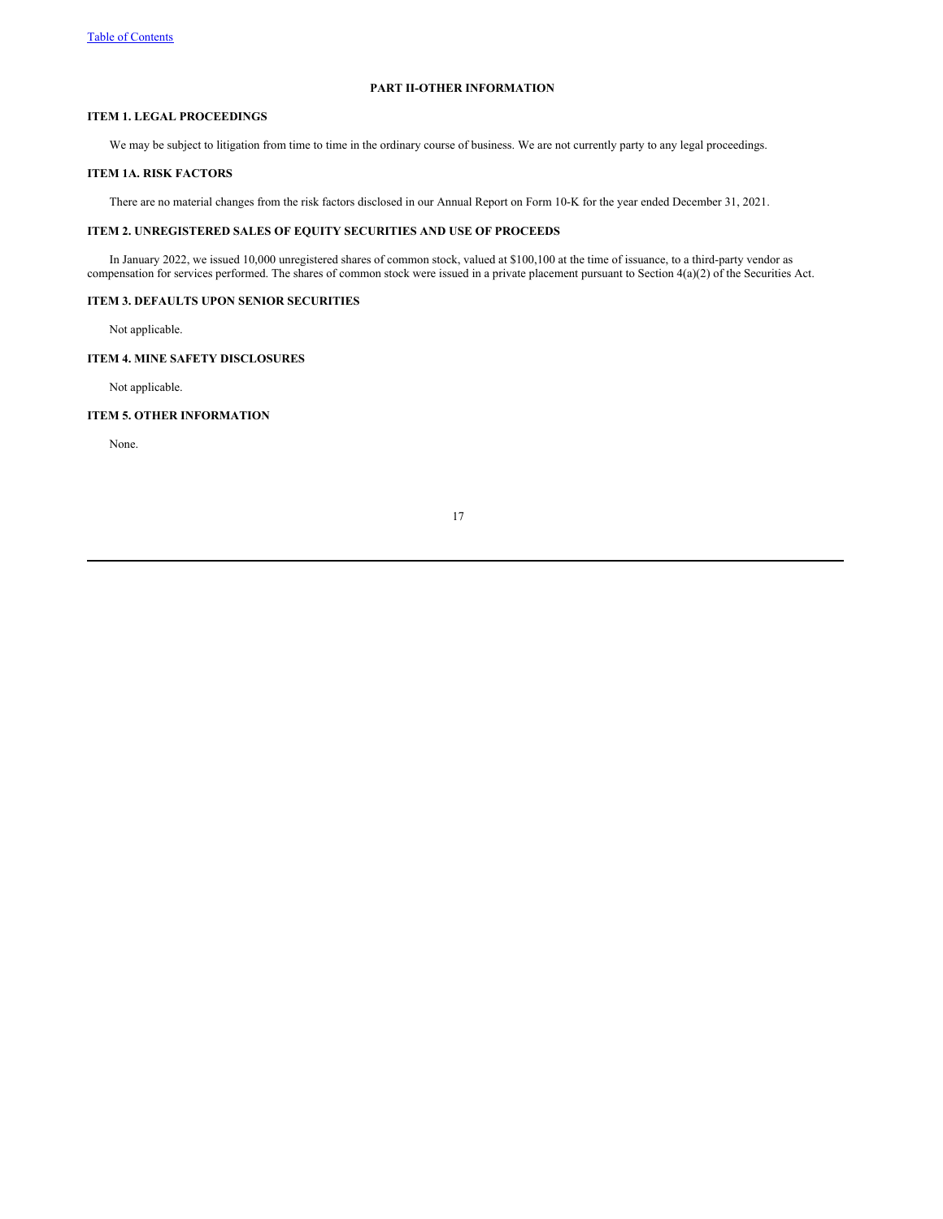## **PART II-OTHER INFORMATION**

## **ITEM 1. LEGAL PROCEEDINGS**

We may be subject to litigation from time to time in the ordinary course of business. We are not currently party to any legal proceedings.

### **ITEM 1A. RISK FACTORS**

There are no material changes from the risk factors disclosed in our Annual Report on Form 10-K for the year ended December 31, 2021.

## **ITEM 2. UNREGISTERED SALES OF EQUITY SECURITIES AND USE OF PROCEEDS**

In January 2022, we issued 10,000 unregistered shares of common stock, valued at \$100,100 at the time of issuance, to a third-party vendor as compensation for services performed. The shares of common stock were issued in a private placement pursuant to Section 4(a)(2) of the Securities Act.

### **ITEM 3. DEFAULTS UPON SENIOR SECURITIES**

Not applicable.

## **ITEM 4. MINE SAFETY DISCLOSURES**

Not applicable.

## **ITEM 5. OTHER INFORMATION**

None.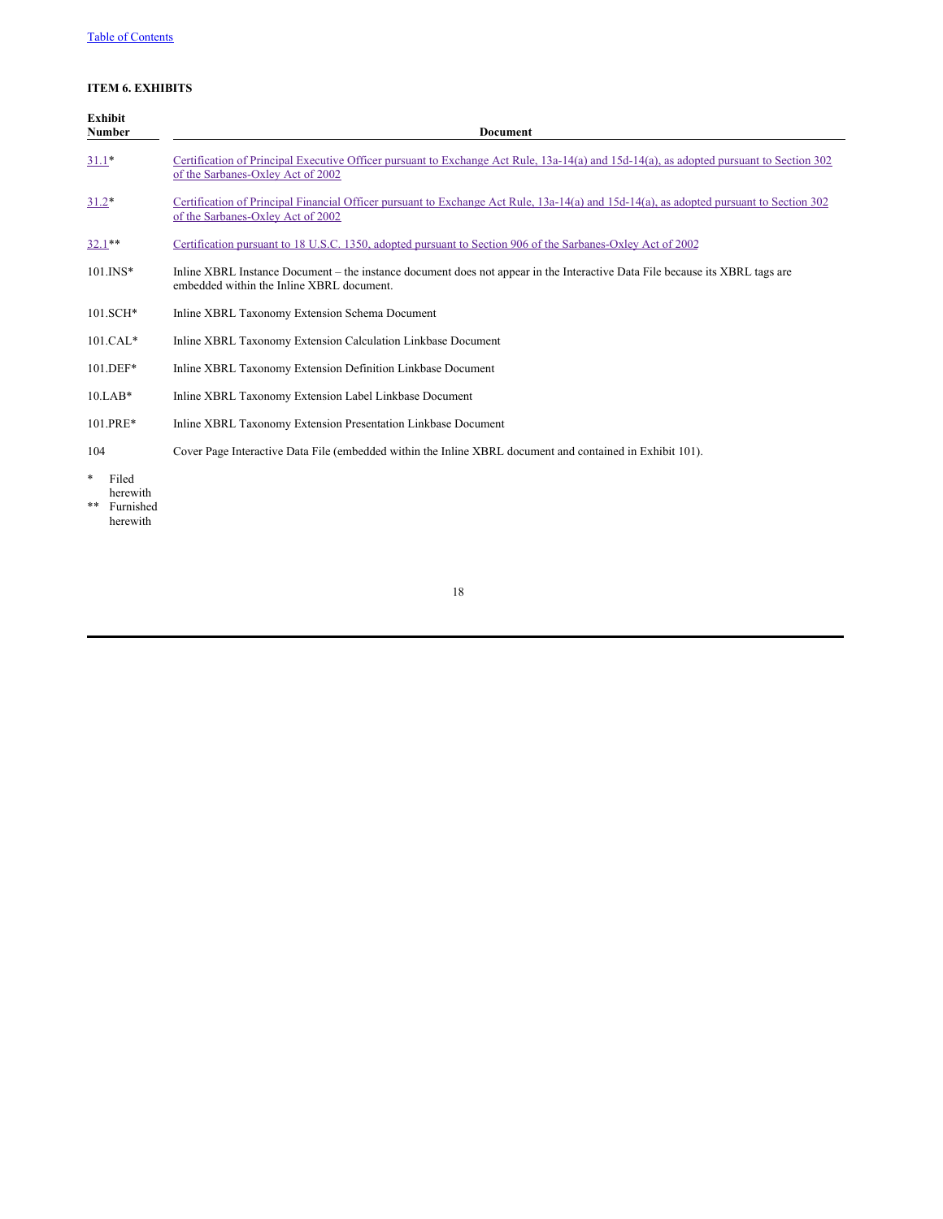## **ITEM 6. EXHIBITS**

|         | <b>Exhibit</b><br>Number       | <b>Document</b>                                                                                                                                                              |
|---------|--------------------------------|------------------------------------------------------------------------------------------------------------------------------------------------------------------------------|
| $31.1*$ |                                | Certification of Principal Executive Officer pursuant to Exchange Act Rule, 13a-14(a) and 15d-14(a), as adopted pursuant to Section 302<br>of the Sarbanes-Oxley Act of 2002 |
| $31.2*$ |                                | Certification of Principal Financial Officer pursuant to Exchange Act Rule, 13a-14(a) and 15d-14(a), as adopted pursuant to Section 302<br>of the Sarbanes-Oxley Act of 2002 |
|         | $32.1**$                       | Certification pursuant to 18 U.S.C. 1350, adopted pursuant to Section 906 of the Sarbanes-Oxley Act of 2002                                                                  |
|         | $101$ . INS*                   | Inline XBRL Instance Document – the instance document does not appear in the Interactive Data File because its XBRL tags are<br>embedded within the Inline XBRL document.    |
|         | $101.SCH*$                     | Inline XBRL Taxonomy Extension Schema Document                                                                                                                               |
|         | $101.CAL*$                     | Inline XBRL Taxonomy Extension Calculation Linkbase Document                                                                                                                 |
|         | 101.DEF*                       | Inline XBRL Taxonomy Extension Definition Linkbase Document                                                                                                                  |
|         | $10.LAB*$                      | Inline XBRL Taxonomy Extension Label Linkbase Document                                                                                                                       |
|         | 101.PRE*                       | Inline XBRL Taxonomy Extension Presentation Linkbase Document                                                                                                                |
| 104     |                                | Cover Page Interactive Data File (embedded within the Inline XBRL document and contained in Exhibit 101).                                                                    |
| *<br>** | Filed<br>herewith<br>Furnished |                                                                                                                                                                              |

herewith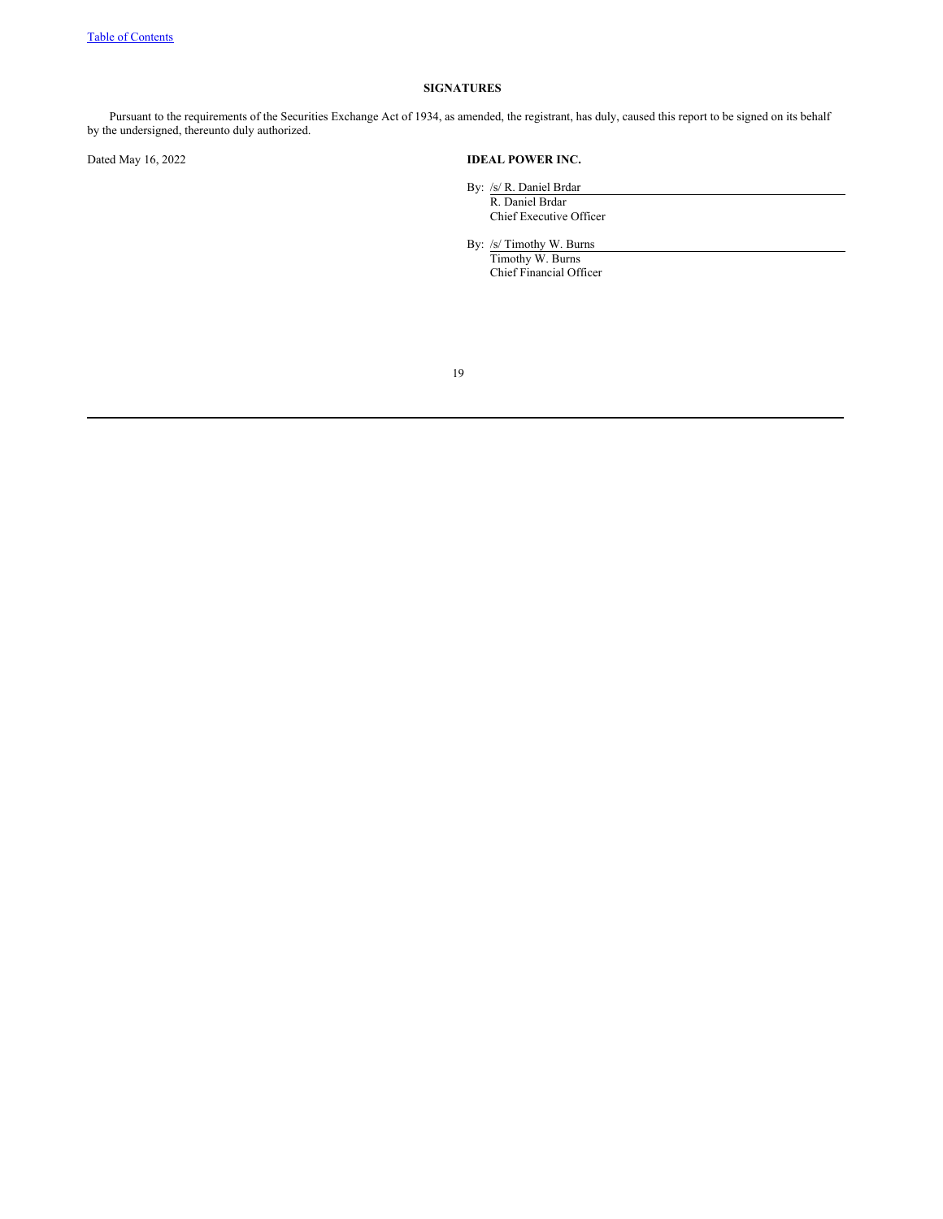## **SIGNATURES**

Pursuant to the requirements of the Securities Exchange Act of 1934, as amended, the registrant, has duly, caused this report to be signed on its behalf by the undersigned, thereunto duly authorized.

## Dated May 16, 2022 **IDEAL POWER INC.**

By: /s/ R. Daniel Brdar R. Daniel Brdar Chief Executive Officer

By: /s/ Timothy W. Burns Timothy W. Burns Chief Financial Officer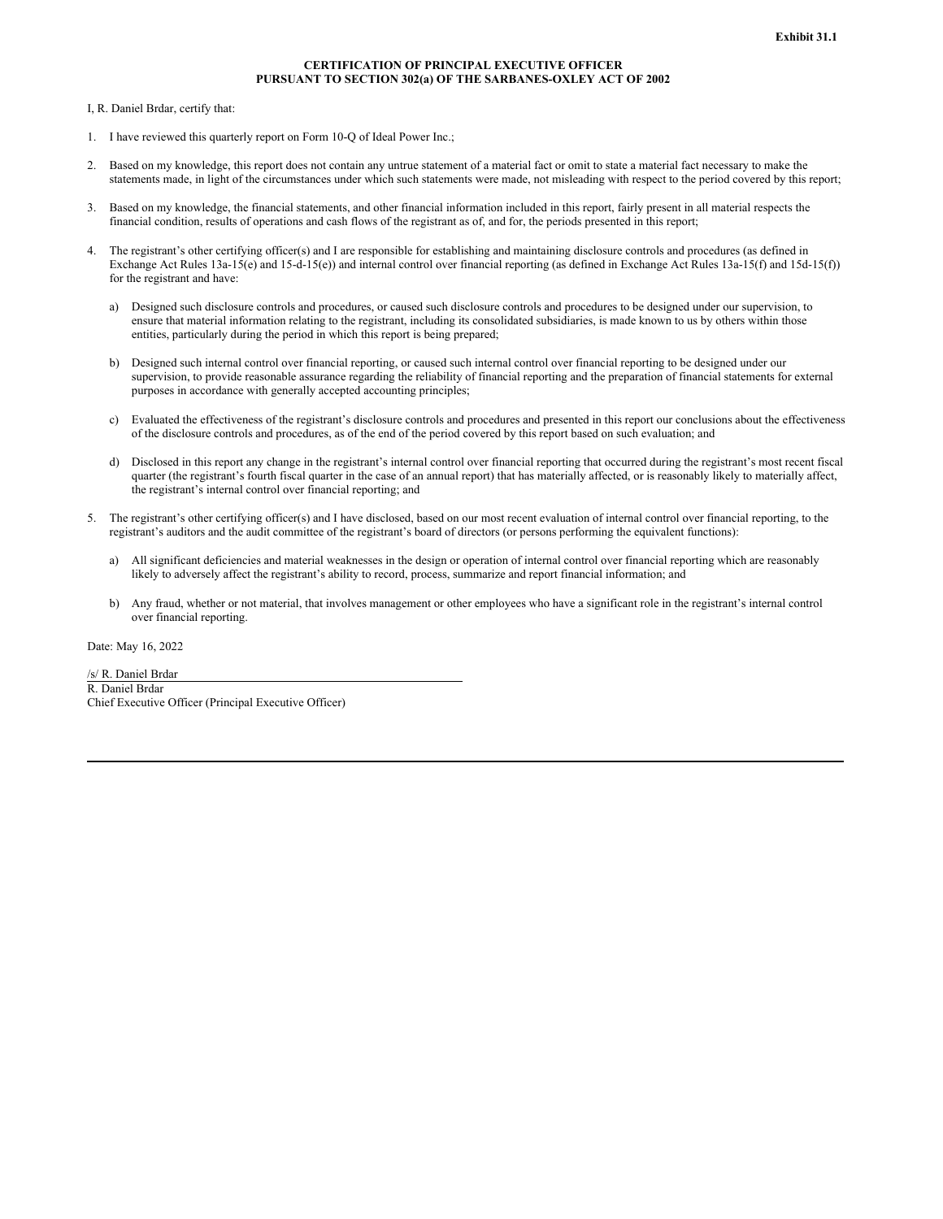## **CERTIFICATION OF PRINCIPAL EXECUTIVE OFFICER PURSUANT TO SECTION 302(a) OF THE SARBANES-OXLEY ACT OF 2002**

<span id="page-19-0"></span>I, R. Daniel Brdar, certify that:

- 1. I have reviewed this quarterly report on Form 10-Q of Ideal Power Inc.;
- 2. Based on my knowledge, this report does not contain any untrue statement of a material fact or omit to state a material fact necessary to make the statements made, in light of the circumstances under which such statements were made, not misleading with respect to the period covered by this report;
- 3. Based on my knowledge, the financial statements, and other financial information included in this report, fairly present in all material respects the financial condition, results of operations and cash flows of the registrant as of, and for, the periods presented in this report;
- 4. The registrant's other certifying officer(s) and I are responsible for establishing and maintaining disclosure controls and procedures (as defined in Exchange Act Rules 13a-15(e) and 15-d-15(e)) and internal control over financial reporting (as defined in Exchange Act Rules 13a-15(f) and 15d-15(f)) for the registrant and have:
	- a) Designed such disclosure controls and procedures, or caused such disclosure controls and procedures to be designed under our supervision, to ensure that material information relating to the registrant, including its consolidated subsidiaries, is made known to us by others within those entities, particularly during the period in which this report is being prepared;
	- b) Designed such internal control over financial reporting, or caused such internal control over financial reporting to be designed under our supervision, to provide reasonable assurance regarding the reliability of financial reporting and the preparation of financial statements for external purposes in accordance with generally accepted accounting principles;
	- c) Evaluated the effectiveness of the registrant's disclosure controls and procedures and presented in this report our conclusions about the effectiveness of the disclosure controls and procedures, as of the end of the period covered by this report based on such evaluation; and
	- d) Disclosed in this report any change in the registrant's internal control over financial reporting that occurred during the registrant's most recent fiscal quarter (the registrant's fourth fiscal quarter in the case of an annual report) that has materially affected, or is reasonably likely to materially affect, the registrant's internal control over financial reporting; and
- 5. The registrant's other certifying officer(s) and I have disclosed, based on our most recent evaluation of internal control over financial reporting, to the registrant's auditors and the audit committee of the registrant's board of directors (or persons performing the equivalent functions):
	- a) All significant deficiencies and material weaknesses in the design or operation of internal control over financial reporting which are reasonably likely to adversely affect the registrant's ability to record, process, summarize and report financial information; and
	- b) Any fraud, whether or not material, that involves management or other employees who have a significant role in the registrant's internal control over financial reporting.

Date: May 16, 2022

/s/ R. Daniel Brdar R. Daniel Brdar Chief Executive Officer (Principal Executive Officer)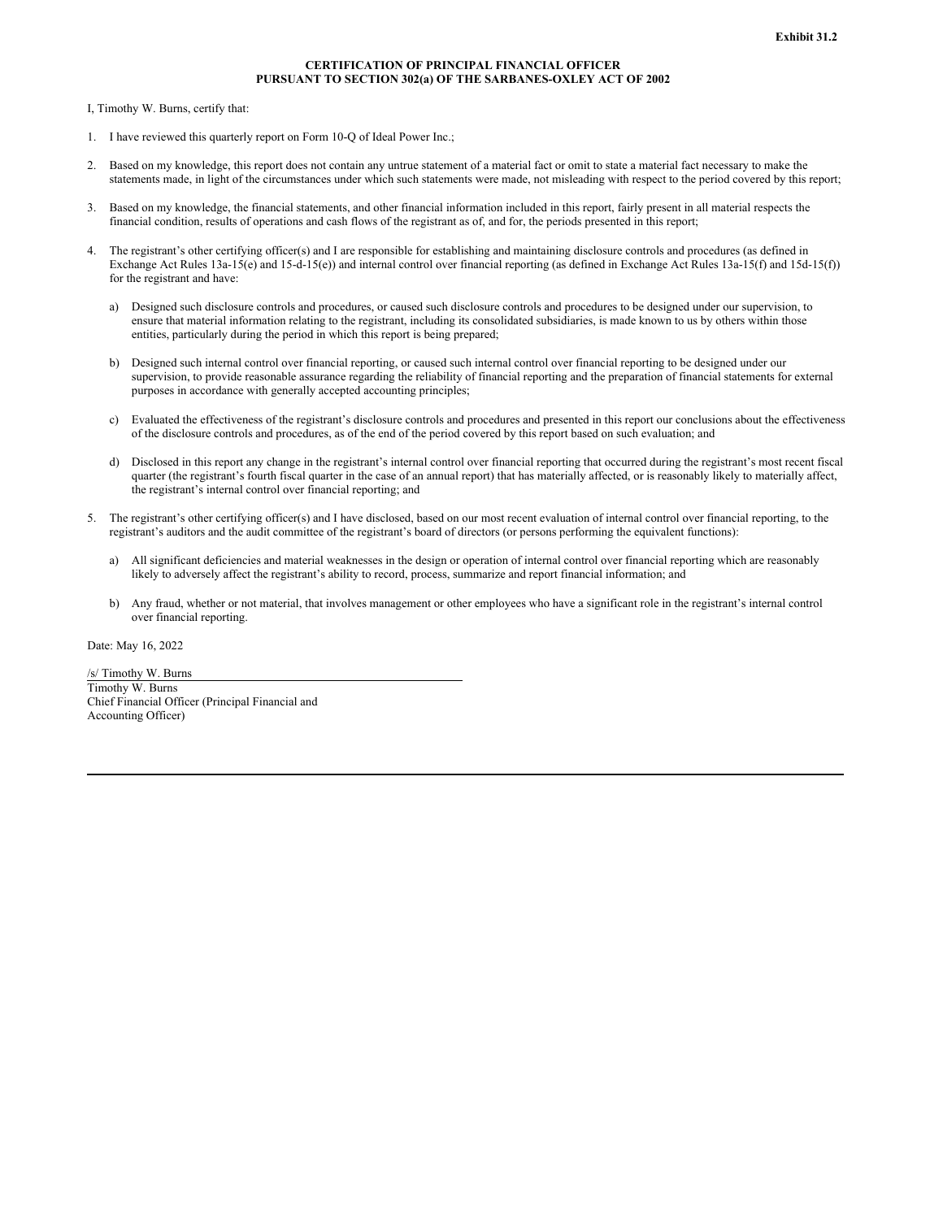## **CERTIFICATION OF PRINCIPAL FINANCIAL OFFICER PURSUANT TO SECTION 302(a) OF THE SARBANES-OXLEY ACT OF 2002**

<span id="page-20-0"></span>I, Timothy W. Burns, certify that:

- 1. I have reviewed this quarterly report on Form 10-Q of Ideal Power Inc.;
- 2. Based on my knowledge, this report does not contain any untrue statement of a material fact or omit to state a material fact necessary to make the statements made, in light of the circumstances under which such statements were made, not misleading with respect to the period covered by this report;
- 3. Based on my knowledge, the financial statements, and other financial information included in this report, fairly present in all material respects the financial condition, results of operations and cash flows of the registrant as of, and for, the periods presented in this report;
- 4. The registrant's other certifying officer(s) and I are responsible for establishing and maintaining disclosure controls and procedures (as defined in Exchange Act Rules 13a-15(e) and 15-d-15(e)) and internal control over financial reporting (as defined in Exchange Act Rules 13a-15(f) and 15d-15(f)) for the registrant and have:
	- a) Designed such disclosure controls and procedures, or caused such disclosure controls and procedures to be designed under our supervision, to ensure that material information relating to the registrant, including its consolidated subsidiaries, is made known to us by others within those entities, particularly during the period in which this report is being prepared;
	- b) Designed such internal control over financial reporting, or caused such internal control over financial reporting to be designed under our supervision, to provide reasonable assurance regarding the reliability of financial reporting and the preparation of financial statements for external purposes in accordance with generally accepted accounting principles;
	- c) Evaluated the effectiveness of the registrant's disclosure controls and procedures and presented in this report our conclusions about the effectiveness of the disclosure controls and procedures, as of the end of the period covered by this report based on such evaluation; and
	- d) Disclosed in this report any change in the registrant's internal control over financial reporting that occurred during the registrant's most recent fiscal quarter (the registrant's fourth fiscal quarter in the case of an annual report) that has materially affected, or is reasonably likely to materially affect, the registrant's internal control over financial reporting; and
- 5. The registrant's other certifying officer(s) and I have disclosed, based on our most recent evaluation of internal control over financial reporting, to the registrant's auditors and the audit committee of the registrant's board of directors (or persons performing the equivalent functions):
	- a) All significant deficiencies and material weaknesses in the design or operation of internal control over financial reporting which are reasonably likely to adversely affect the registrant's ability to record, process, summarize and report financial information; and
	- b) Any fraud, whether or not material, that involves management or other employees who have a significant role in the registrant's internal control over financial reporting.

Date: May 16, 2022

/s/ Timothy W. Burns Timothy W. Burns Chief Financial Officer (Principal Financial and Accounting Officer)